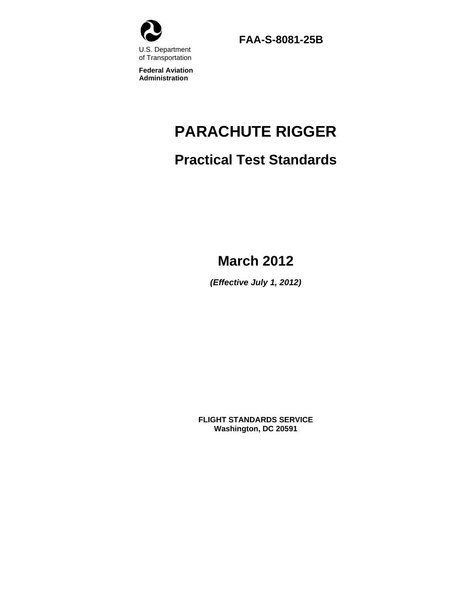

**FAA-S-8081-25B** 

**Federal Aviation Administration**

# **PARACHUTE RIGGER**

# **Practical Test Standards**

# **March 2012**

*(Effective July 1, 2012)* 

**FLIGHT STANDARDS SERVICE Washington, DC 20591**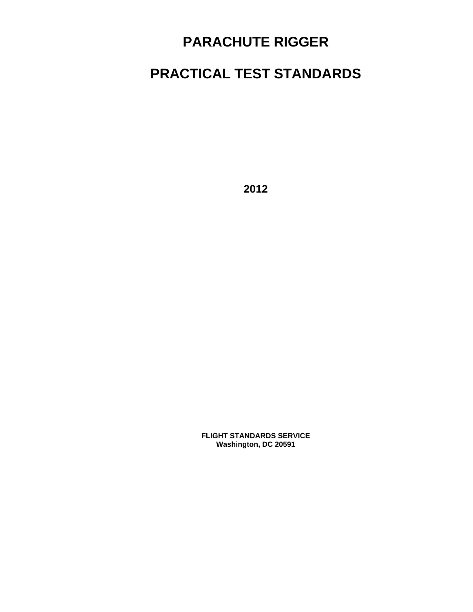# **PARACHUTE RIGGER**

# **PRACTICAL TEST STANDARDS**

**2012** 

**FLIGHT STANDARDS SERVICE Washington, DC 20591**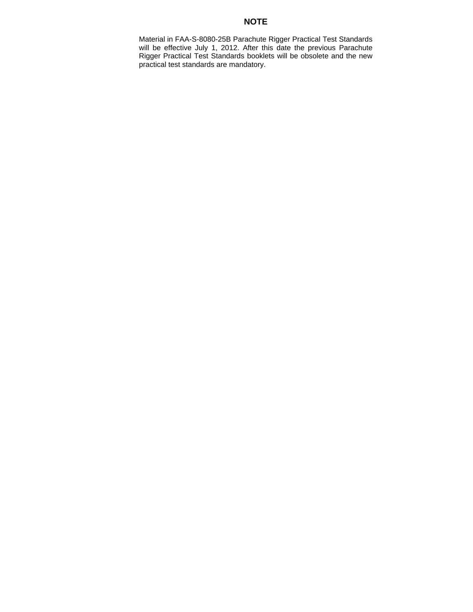# **NOTE**

Material in FAA-S-8080-25B Parachute Rigger Practical Test Standards will be effective July 1, 2012. After this date the previous Parachute Rigger Practical Test Standards booklets will be obsolete and the new practical test standards are mandatory.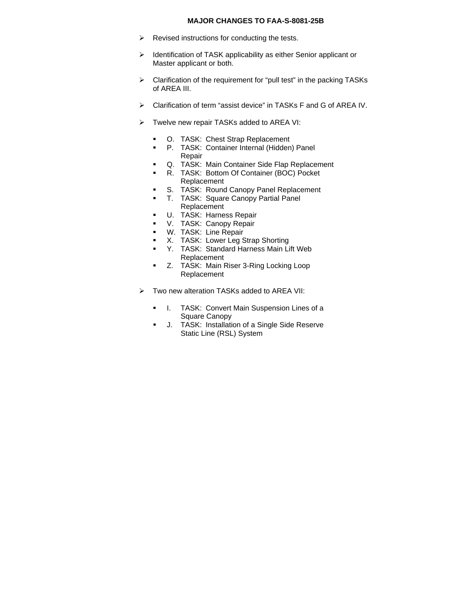#### **MAJOR CHANGES TO FAA-S-8081-25B**

- $\triangleright$  Revised instructions for conducting the tests.
- > Identification of TASK applicability as either Senior applicant or Master applicant or both.
- $\triangleright$  Clarification of the requirement for "pull test" in the packing TASKs of AREA III.
- Clarification of term "assist device" in TASKs F and G of AREA IV.
- $\triangleright$  Twelve new repair TASKs added to AREA VI:
	- O. TASK: Chest Strap Replacement
	- P. TASK: Container Internal (Hidden) Panel Repair
	- **Q.** TASK: Main Container Side Flap Replacement
	- R. TASK: Bottom Of Container (BOC) Pocket Replacement
	- S. TASK: Round Canopy Panel Replacement
	- T. TASK: Square Canopy Partial Panel
		- Replacement
	- U. TASK: Harness Repair
	- **V.** TASK: Canopy Repair
	- **W.** TASK: Line Repair
	- **X.** TASK: Lower Leg Strap Shorting
	- Y. TASK: Standard Harness Main Lift Web Replacement
	- **EXECO:** TASK: Main Riser 3-Ring Locking Loop Replacement
- Two new alteration TASKs added to AREA VII:
	- **I.** TASK: Convert Main Suspension Lines of a Square Canopy
	- **J.** TASK: Installation of a Single Side Reserve Static Line (RSL) System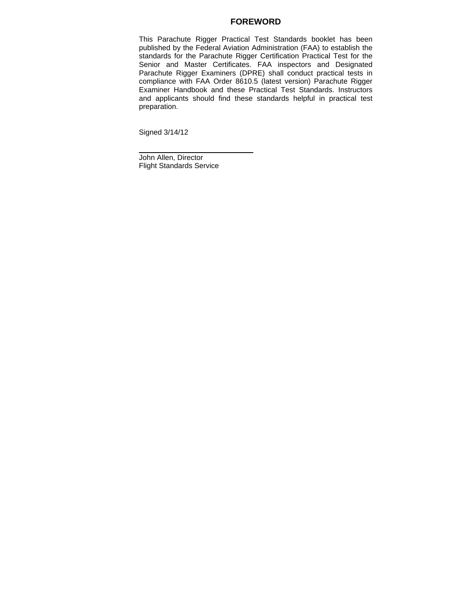# **FOREWORD**

This Parachute Rigger Practical Test Standards booklet has been published by the Federal Aviation Administration (FAA) to establish the standards for the Parachute Rigger Certification Practical Test for the Senior and Master Certificates. FAA inspectors and Designated Parachute Rigger Examiners (DPRE) shall conduct practical tests in compliance with FAA Order 8610.5 (latest version) Parachute Rigger Examiner Handbook and these Practical Test Standards. Instructors and applicants should find these standards helpful in practical test preparation.

Signed 3/14/12

John Allen, Director Flight Standards Service

\_\_\_\_\_\_\_\_\_\_\_\_\_\_\_\_\_\_\_\_\_\_\_\_\_\_\_\_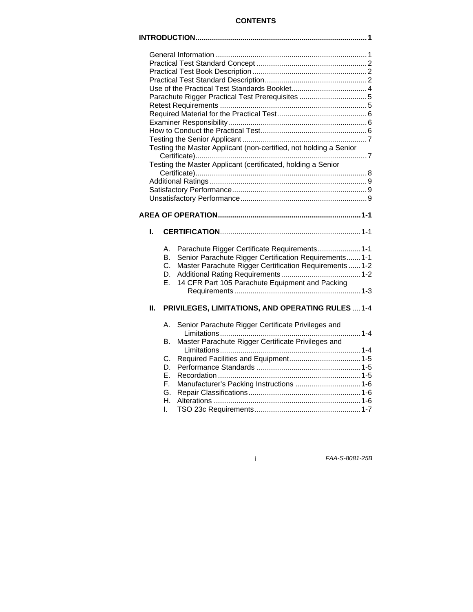# **CONTENTS**

|    |                            | Parachute Rigger Practical Test Prerequisites 5<br>Testing the Master Applicant (non-certified, not holding a Senior<br>Testing the Master Applicant (certificated, holding a Senior                                 |  |  |
|----|----------------------------|----------------------------------------------------------------------------------------------------------------------------------------------------------------------------------------------------------------------|--|--|
|    |                            |                                                                                                                                                                                                                      |  |  |
|    |                            |                                                                                                                                                                                                                      |  |  |
|    |                            |                                                                                                                                                                                                                      |  |  |
|    |                            |                                                                                                                                                                                                                      |  |  |
|    |                            |                                                                                                                                                                                                                      |  |  |
| L. |                            |                                                                                                                                                                                                                      |  |  |
|    | А.<br>В.<br>C.<br>D.<br>Е. | Parachute Rigger Certificate Requirements1-1<br>Senior Parachute Rigger Certification Requirements 1-1<br>Master Parachute Rigger Certification Requirements  1-2<br>14 CFR Part 105 Parachute Equipment and Packing |  |  |
| Н. |                            | PRIVILEGES, LIMITATIONS, AND OPERATING RULES  1-4                                                                                                                                                                    |  |  |
|    | А.                         | Senior Parachute Rigger Certificate Privileges and                                                                                                                                                                   |  |  |
|    | В.                         | Master Parachute Rigger Certificate Privileges and                                                                                                                                                                   |  |  |

i *FAA-S-8081-25B*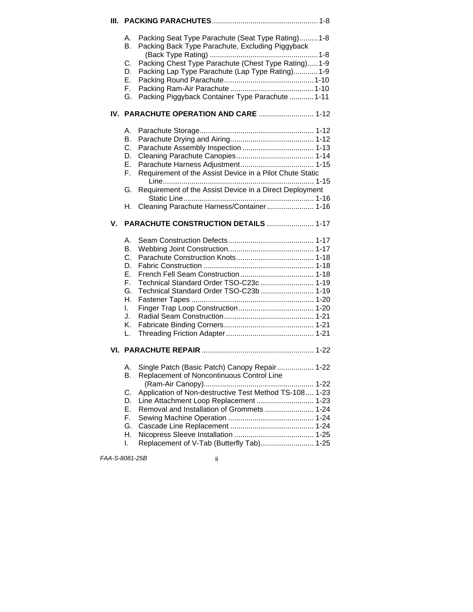|    | А.<br><b>B.</b><br>С.<br>D.<br>Е.<br>F.<br>G.                        | Packing Seat Type Parachute (Seat Type Rating) 1-8<br>Packing Back Type Parachute, Excluding Piggyback<br>Packing Chest Type Parachute (Chest Type Rating) 1-9<br>Packing Lap Type Parachute (Lap Type Rating) 1-9<br>Packing Piggyback Container Type Parachute  1-11                    |
|----|----------------------------------------------------------------------|-------------------------------------------------------------------------------------------------------------------------------------------------------------------------------------------------------------------------------------------------------------------------------------------|
|    |                                                                      |                                                                                                                                                                                                                                                                                           |
|    | А.<br>В.<br>$C_{\cdot}$<br>D.<br>Е.<br>F.<br>G.<br>Н.                | Requirement of the Assist Device in a Pilot Chute Static<br>Requirement of the Assist Device in a Direct Deployment<br>Cleaning Parachute Harness/Container 1-16                                                                                                                          |
| V. |                                                                      | <b>PARACHUTE CONSTRUCTION DETAILS  1-17</b>                                                                                                                                                                                                                                               |
|    | А.<br>В.<br>C.<br>D.<br>Е.<br>F.<br>G.<br>Η.<br>L.<br>J.<br>Κ.<br>L. | Technical Standard Order TSO-C23c  1-19<br>Technical Standard Order TSO-C23b  1-19                                                                                                                                                                                                        |
|    |                                                                      |                                                                                                                                                                                                                                                                                           |
|    | Α.<br><b>B.</b><br>С.<br>D.<br>Ε.<br>F.<br>G.<br>Η.<br>I.            | Single Patch (Basic Patch) Canopy Repair 1-22<br>Replacement of Noncontinuous Control Line<br>Application of Non-destructive Test Method TS-108 1-23<br>Line Attachment Loop Replacement  1-23<br>Removal and Installation of Grommets  1-24<br>Replacement of V-Tab (Butterfly Tab) 1-25 |

*FAA-S-8081-25B* ii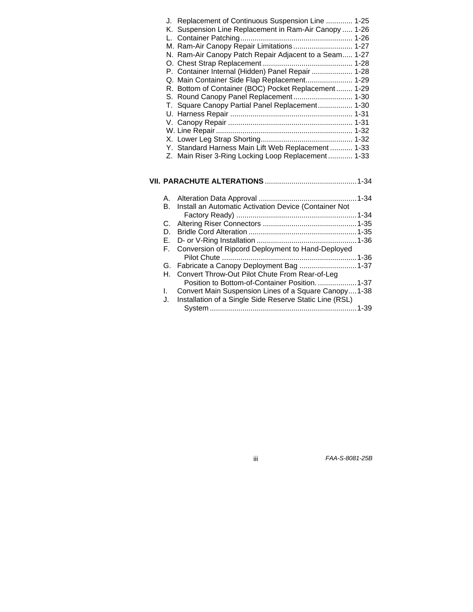| J. Replacement of Continuous Suspension Line  1-25     |          |
|--------------------------------------------------------|----------|
| K. Suspension Line Replacement in Ram-Air Canopy  1-26 |          |
|                                                        |          |
| M. Ram-Air Canopy Repair Limitations 1-27              |          |
| N. Ram-Air Canopy Patch Repair Adjacent to a Seam 1-27 |          |
|                                                        |          |
| P. Container Internal (Hidden) Panel Repair  1-28      |          |
| Q. Main Container Side Flap Replacement 1-29           |          |
| R. Bottom of Container (BOC) Pocket Replacement 1-29   |          |
| S. Round Canopy Panel Replacement 1-30                 |          |
| T. Square Canopy Partial Panel Replacement 1-30        |          |
|                                                        |          |
|                                                        | $1 - 31$ |
|                                                        |          |
|                                                        |          |
| Y. Standard Harness Main Lift Web Replacement  1-33    |          |
| Z. Main Riser 3-Ring Locking Loop Replacement 1-33     |          |
|                                                        |          |
|                                                        |          |

# **VII. PARACHUTE ALTERATIONS** .............................................1-34

|    | B. Install an Automatic Activation Device (Container Not   |
|----|------------------------------------------------------------|
|    |                                                            |
|    |                                                            |
| D. |                                                            |
|    |                                                            |
|    | F. Conversion of Ripcord Deployment to Hand-Deployed       |
|    |                                                            |
|    |                                                            |
|    | H. Convert Throw-Out Pilot Chute From Rear-of-Leg          |
|    | Position to Bottom-of-Container Position.  1-37            |
|    | 1. Convert Main Suspension Lines of a Square Canopy1-38    |
|    | J. Installation of a Single Side Reserve Static Line (RSL) |
|    |                                                            |

iii *FAA-S-8081-25B*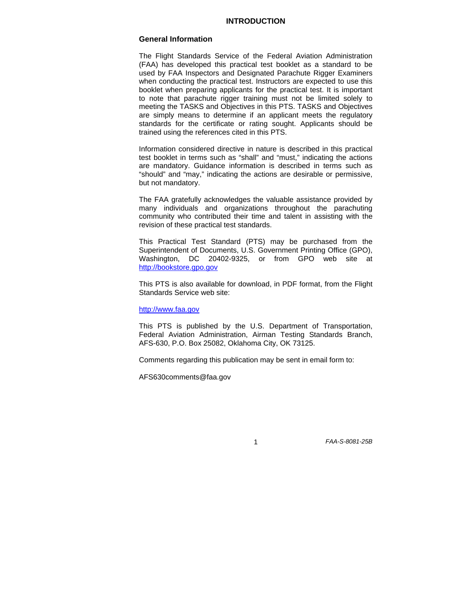### **INTRODUCTION**

#### **General Information**

The Flight Standards Service of the Federal Aviation Administration (FAA) has developed this practical test booklet as a standard to be used by FAA Inspectors and Designated Parachute Rigger Examiners when conducting the practical test. Instructors are expected to use this booklet when preparing applicants for the practical test. It is important to note that parachute rigger training must not be limited solely to meeting the TASKS and Objectives in this PTS. TASKS and Objectives are simply means to determine if an applicant meets the regulatory standards for the certificate or rating sought. Applicants should be trained using the references cited in this PTS.

Information considered directive in nature is described in this practical test booklet in terms such as "shall" and "must," indicating the actions are mandatory. Guidance information is described in terms such as "should" and "may," indicating the actions are desirable or permissive, but not mandatory.

The FAA gratefully acknowledges the valuable assistance provided by many individuals and organizations throughout the parachuting community who contributed their time and talent in assisting with the revision of these practical test standards.

This Practical Test Standard (PTS) may be purchased from the Superintendent of Documents, U.S. Government Printing Office (GPO), Washington, DC 20402-9325, or from GPO web site at [http://bookstore.gpo.gov](http://bookstore.gpo.gov/) 

This PTS is also available for download, in PDF format, from the Flight Standards Service web site:

#### [http://www.faa.gov](http://www.faa.gov/)

This PTS is published by the U.S. Department of Transportation, Federal Aviation Administration, Airman Testing Standards Branch, AFS-630, P.O. Box 25082, Oklahoma City, OK 73125.

Comments regarding this publication may be sent in email form to:

AFS630comments@faa.gov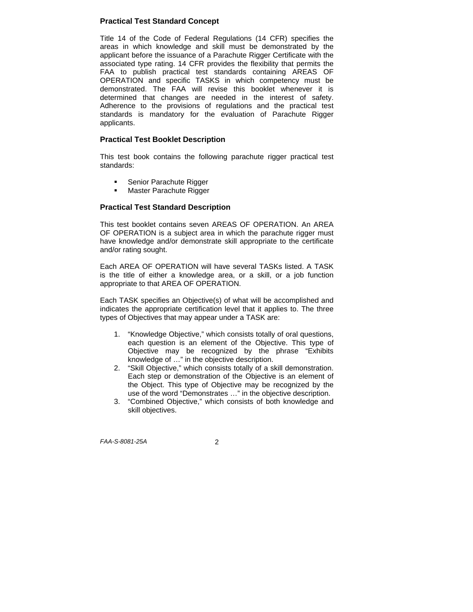# **Practical Test Standard Concept**

Title 14 of the Code of Federal Regulations (14 CFR) specifies the areas in which knowledge and skill must be demonstrated by the applicant before the issuance of a Parachute Rigger Certificate with the associated type rating. 14 CFR provides the flexibility that permits the FAA to publish practical test standards containing AREAS OF OPERATION and specific TASKS in which competency must be demonstrated. The FAA will revise this booklet whenever it is determined that changes are needed in the interest of safety. Adherence to the provisions of regulations and the practical test standards is mandatory for the evaluation of Parachute Rigger applicants.

#### **Practical Test Booklet Description**

This test book contains the following parachute rigger practical test standards:

- Senior Parachute Rigger
- Master Parachute Rigger

#### **Practical Test Standard Description**

This test booklet contains seven AREAS OF OPERATION. An AREA OF OPERATION is a subject area in which the parachute rigger must have knowledge and/or demonstrate skill appropriate to the certificate and/or rating sought.

Each AREA OF OPERATION will have several TASKs listed. A TASK is the title of either a knowledge area, or a skill, or a job function appropriate to that AREA OF OPERATION.

Each TASK specifies an Objective(s) of what will be accomplished and indicates the appropriate certification level that it applies to. The three types of Objectives that may appear under a TASK are:

- 1. "Knowledge Objective," which consists totally of oral questions, each question is an element of the Objective. This type of Objective may be recognized by the phrase "Exhibits knowledge of …" in the objective description.
- 2. "Skill Objective," which consists totally of a skill demonstration. Each step or demonstration of the Objective is an element of the Object. This type of Objective may be recognized by the use of the word "Demonstrates …" in the objective description.
- 3. "Combined Objective," which consists of both knowledge and skill objectives.

*FAA-S-8081-25A* 2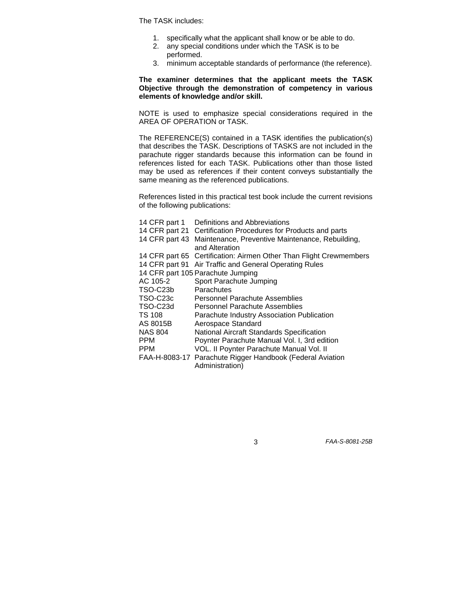The TASK includes:

- 1. specifically what the applicant shall know or be able to do.
- 2. any special conditions under which the TASK is to be
	- performed.
- 3. minimum acceptable standards of performance (the reference).

**The examiner determines that the applicant meets the TASK Objective through the demonstration of competency in various elements of knowledge and/or skill.** 

NOTE is used to emphasize special considerations required in the AREA OF OPERATION or TASK.

The REFERENCE(S) contained in a TASK identifies the publication(s) that describes the TASK. Descriptions of TASKS are not included in the parachute rigger standards because this information can be found in references listed for each TASK. Publications other than those listed may be used as references if their content conveys substantially the same meaning as the referenced publications.

References listed in this practical test book include the current revisions of the following publications:

| 14 CFR part 1  | Definitions and Abbreviations                                                |
|----------------|------------------------------------------------------------------------------|
|                | 14 CFR part 21 Certification Procedures for Products and parts               |
| 14 CFR part 43 | Maintenance, Preventive Maintenance, Rebuilding,<br>and Alteration           |
|                | 14 CFR part 65 Certification: Airmen Other Than Flight Crewmembers           |
|                | 14 CFR part 91 Air Traffic and General Operating Rules                       |
|                | 14 CFR part 105 Parachute Jumping                                            |
| AC 105-2       | Sport Parachute Jumping                                                      |
| TSO-C23b       | Parachutes                                                                   |
| TSO-C23c       | Personnel Parachute Assemblies                                               |
| TSO-C23d       | Personnel Parachute Assemblies                                               |
| TS 108         | Parachute Industry Association Publication                                   |
| AS 8015B       | Aerospace Standard                                                           |
| NAS 804        | National Aircraft Standards Specification                                    |
| PPM            | Poynter Parachute Manual Vol. I, 3rd edition                                 |
| PPM            | VOL. II Poynter Parachute Manual Vol. II                                     |
|                | FAA-H-8083-17 Parachute Rigger Handbook (Federal Aviation<br>Administration) |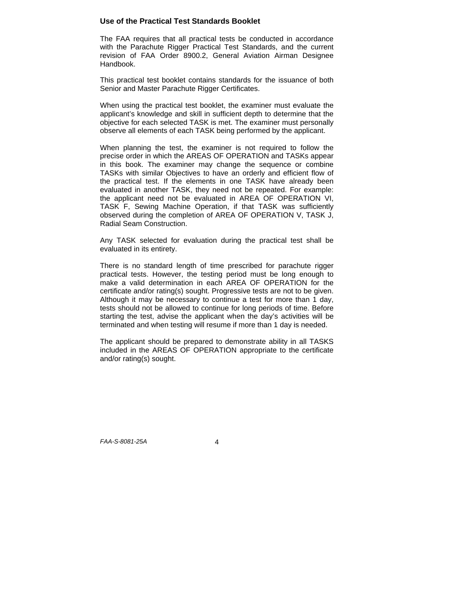#### **Use of the Practical Test Standards Booklet**

The FAA requires that all practical tests be conducted in accordance with the Parachute Rigger Practical Test Standards, and the current revision of FAA Order 8900.2, General Aviation Airman Designee Handbook.

This practical test booklet contains standards for the issuance of both Senior and Master Parachute Rigger Certificates.

When using the practical test booklet, the examiner must evaluate the applicant's knowledge and skill in sufficient depth to determine that the objective for each selected TASK is met. The examiner must personally observe all elements of each TASK being performed by the applicant.

When planning the test, the examiner is not required to follow the precise order in which the AREAS OF OPERATION and TASKs appear in this book. The examiner may change the sequence or combine TASKs with similar Objectives to have an orderly and efficient flow of the practical test. If the elements in one TASK have already been evaluated in another TASK, they need not be repeated. For example: the applicant need not be evaluated in AREA OF OPERATION VI, TASK F, Sewing Machine Operation, if that TASK was sufficiently observed during the completion of AREA OF OPERATION V, TASK J, Radial Seam Construction.

Any TASK selected for evaluation during the practical test shall be evaluated in its entirety.

There is no standard length of time prescribed for parachute rigger practical tests. However, the testing period must be long enough to make a valid determination in each AREA OF OPERATION for the certificate and/or rating(s) sought. Progressive tests are not to be given. Although it may be necessary to continue a test for more than 1 day, tests should not be allowed to continue for long periods of time. Before starting the test, advise the applicant when the day's activities will be terminated and when testing will resume if more than 1 day is needed.

The applicant should be prepared to demonstrate ability in all TASKS included in the AREAS OF OPERATION appropriate to the certificate and/or rating(s) sought.

*FAA-S-8081-25A* 4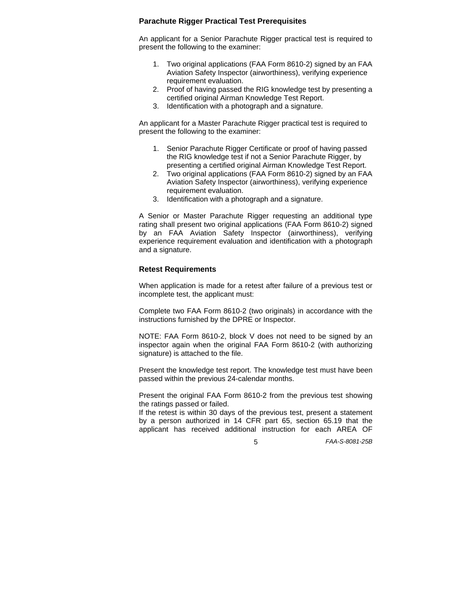#### **Parachute Rigger Practical Test Prerequisites**

An applicant for a Senior Parachute Rigger practical test is required to present the following to the examiner:

- 1. Two original applications (FAA Form 8610-2) signed by an FAA Aviation Safety Inspector (airworthiness), verifying experience requirement evaluation.
- 2. Proof of having passed the RIG knowledge test by presenting a certified original Airman Knowledge Test Report.
- 3. Identification with a photograph and a signature.

An applicant for a Master Parachute Rigger practical test is required to present the following to the examiner:

- 1. Senior Parachute Rigger Certificate or proof of having passed the RIG knowledge test if not a Senior Parachute Rigger, by presenting a certified original Airman Knowledge Test Report.
- 2. Two original applications (FAA Form 8610-2) signed by an FAA Aviation Safety Inspector (airworthiness), verifying experience requirement evaluation.
- 3. Identification with a photograph and a signature.

A Senior or Master Parachute Rigger requesting an additional type rating shall present two original applications (FAA Form 8610-2) signed by an FAA Aviation Safety Inspector (airworthiness), verifying experience requirement evaluation and identification with a photograph and a signature.

#### **Retest Requirements**

When application is made for a retest after failure of a previous test or incomplete test, the applicant must:

Complete two FAA Form 8610-2 (two originals) in accordance with the instructions furnished by the DPRE or Inspector.

NOTE: FAA Form 8610-2, block V does not need to be signed by an inspector again when the original FAA Form 8610-2 (with authorizing signature) is attached to the file.

Present the knowledge test report. The knowledge test must have been passed within the previous 24-calendar months.

Present the original FAA Form 8610-2 from the previous test showing the ratings passed or failed.

If the retest is within 30 days of the previous test, present a statement by a person authorized in 14 CFR part 65, section 65.19 that the applicant has received additional instruction for each AREA OF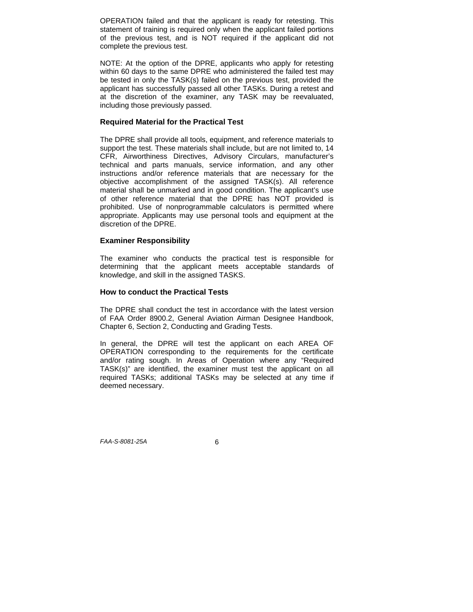OPERATION failed and that the applicant is ready for retesting. This statement of training is required only when the applicant failed portions of the previous test, and is NOT required if the applicant did not complete the previous test.

NOTE: At the option of the DPRE, applicants who apply for retesting within 60 days to the same DPRE who administered the failed test may be tested in only the TASK(s) failed on the previous test, provided the applicant has successfully passed all other TASKs. During a retest and at the discretion of the examiner, any TASK may be reevaluated, including those previously passed.

#### **Required Material for the Practical Test**

The DPRE shall provide all tools, equipment, and reference materials to support the test. These materials shall include, but are not limited to, 14 CFR, Airworthiness Directives, Advisory Circulars, manufacturer's technical and parts manuals, service information, and any other instructions and/or reference materials that are necessary for the objective accomplishment of the assigned TASK(s). All reference material shall be unmarked and in good condition. The applicant's use of other reference material that the DPRE has NOT provided is prohibited. Use of nonprogrammable calculators is permitted where appropriate. Applicants may use personal tools and equipment at the discretion of the DPRE.

#### **Examiner Responsibility**

The examiner who conducts the practical test is responsible for determining that the applicant meets acceptable standards of knowledge, and skill in the assigned TASKS.

#### **How to conduct the Practical Tests**

The DPRE shall conduct the test in accordance with the latest version of FAA Order 8900.2, General Aviation Airman Designee Handbook, Chapter 6, Section 2, Conducting and Grading Tests.

In general, the DPRE will test the applicant on each AREA OF OPERATION corresponding to the requirements for the certificate and/or rating sough. In Areas of Operation where any "Required TASK(s)" are identified, the examiner must test the applicant on all required TASKs; additional TASKs may be selected at any time if deemed necessary.

*FAA-S-8081-25A* 6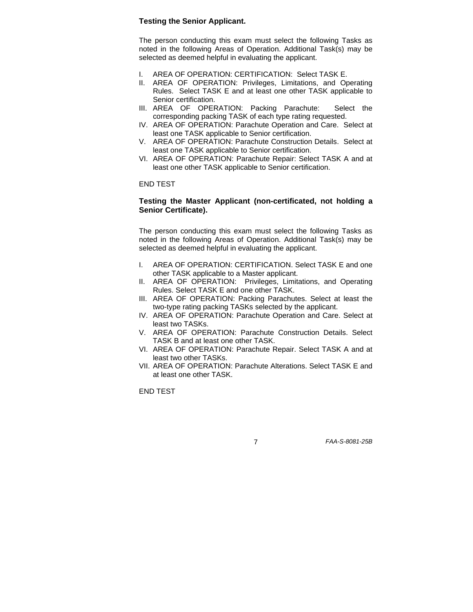### **Testing the Senior Applicant.**

The person conducting this exam must select the following Tasks as noted in the following Areas of Operation. Additional Task(s) may be selected as deemed helpful in evaluating the applicant.

- I. AREA OF OPERATION: CERTIFICATION: Select TASK E.
- II. AREA OF OPERATION: Privileges, Limitations, and Operating Rules. Select TASK E and at least one other TASK applicable to Senior certification.
- III. AREA OF OPERATION: Packing Parachute: Select the corresponding packing TASK of each type rating requested.
- IV. AREA OF OPERATION: Parachute Operation and Care. Select at least one TASK applicable to Senior certification.
- V. AREA OF OPERATION: Parachute Construction Details. Select at least one TASK applicable to Senior certification.
- VI. AREA OF OPERATION: Parachute Repair: Select TASK A and at least one other TASK applicable to Senior certification.

END TEST

#### **Testing the Master Applicant (non-certificated, not holding a Senior Certificate).**

The person conducting this exam must select the following Tasks as noted in the following Areas of Operation. Additional Task(s) may be selected as deemed helpful in evaluating the applicant.

- I. AREA OF OPERATION: CERTIFICATION. Select TASK E and one other TASK applicable to a Master applicant.
- II. AREA OF OPERATION: Privileges, Limitations, and Operating Rules. Select TASK E and one other TASK.
- III. AREA OF OPERATION: Packing Parachutes. Select at least the two-type rating packing TASKs selected by the applicant.
- IV. AREA OF OPERATION: Parachute Operation and Care. Select at least two TASKs.
- V. AREA OF OPERATION: Parachute Construction Details. Select TASK B and at least one other TASK.
- VI. AREA OF OPERATION: Parachute Repair. Select TASK A and at least two other TASKs.
- VII. AREA OF OPERATION: Parachute Alterations. Select TASK E and at least one other TASK.

END TEST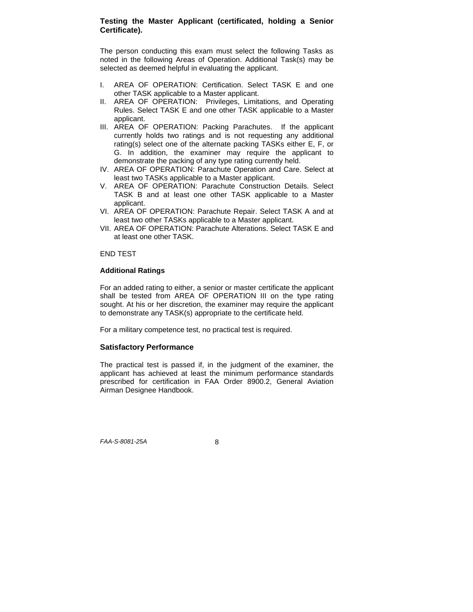# **Testing the Master Applicant (certificated, holding a Senior Certificate).**

The person conducting this exam must select the following Tasks as noted in the following Areas of Operation. Additional Task(s) may be selected as deemed helpful in evaluating the applicant.

- I. AREA OF OPERATION: Certification. Select TASK E and one other TASK applicable to a Master applicant.
- II. AREA OF OPERATION: Privileges, Limitations, and Operating Rules. Select TASK E and one other TASK applicable to a Master applicant.
- III. AREA OF OPERATION: Packing Parachutes. If the applicant currently holds two ratings and is not requesting any additional rating(s) select one of the alternate packing TASKs either E, F, or G. In addition, the examiner may require the applicant to demonstrate the packing of any type rating currently held.
- IV. AREA OF OPERATION: Parachute Operation and Care. Select at least two TASKs applicable to a Master applicant.
- V. AREA OF OPERATION: Parachute Construction Details. Select TASK B and at least one other TASK applicable to a Master applicant.
- VI. AREA OF OPERATION: Parachute Repair. Select TASK A and at least two other TASKs applicable to a Master applicant.
- VII. AREA OF OPERATION: Parachute Alterations. Select TASK E and at least one other TASK.

#### END TEST

#### **Additional Ratings**

For an added rating to either, a senior or master certificate the applicant shall be tested from AREA OF OPERATION III on the type rating sought. At his or her discretion, the examiner may require the applicant to demonstrate any TASK(s) appropriate to the certificate held.

For a military competence test, no practical test is required.

#### **Satisfactory Performance**

The practical test is passed if, in the judgment of the examiner, the applicant has achieved at least the minimum performance standards prescribed for certification in FAA Order 8900.2, General Aviation Airman Designee Handbook.

*FAA-S-8081-25A* 8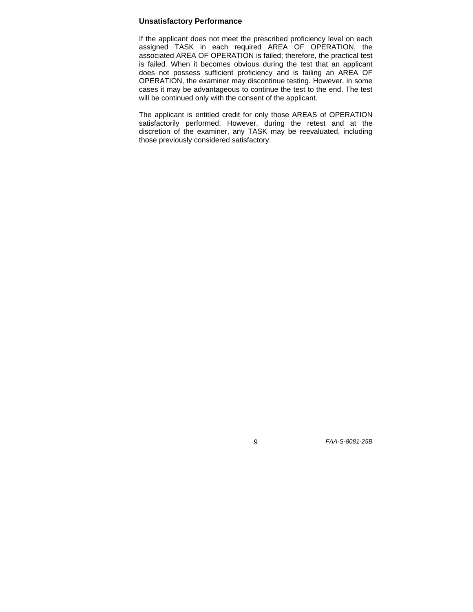### **Unsatisfactory Performance**

If the applicant does not meet the prescribed proficiency level on each assigned TASK in each required AREA OF OPERATION, the associated AREA OF OPERATION is failed; therefore, the practical test is failed. When it becomes obvious during the test that an applicant does not possess sufficient proficiency and is failing an AREA OF OPERATION, the examiner may discontinue testing. However, in some cases it may be advantageous to continue the test to the end. The test will be continued only with the consent of the applicant.

The applicant is entitled credit for only those AREAS of OPERATION satisfactorily performed. However, during the retest and at the discretion of the examiner, any TASK may be reevaluated, including those previously considered satisfactory.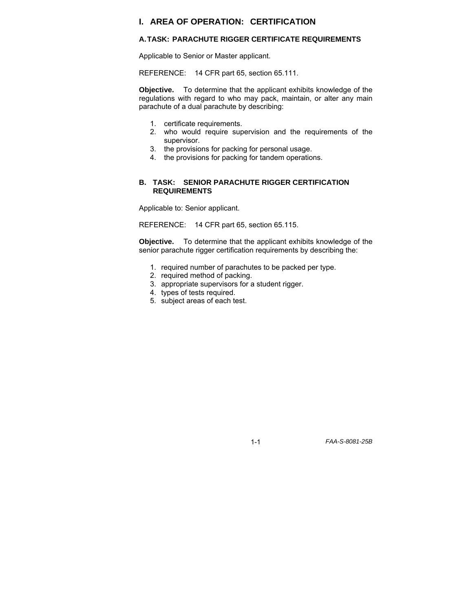# **I. AREA OF OPERATION: CERTIFICATION**

#### **A. TASK: PARACHUTE RIGGER CERTIFICATE REQUIREMENTS**

Applicable to Senior or Master applicant.

REFERENCE: 14 CFR part 65, section 65.111.

**Objective.** To determine that the applicant exhibits knowledge of the regulations with regard to who may pack, maintain, or alter any main parachute of a dual parachute by describing:

- 1. certificate requirements.
- 2. who would require supervision and the requirements of the supervisor.
- 3. the provisions for packing for personal usage.
- 4. the provisions for packing for tandem operations.

#### **B. TASK: SENIOR PARACHUTE RIGGER CERTIFICATION REQUIREMENTS**

Applicable to: Senior applicant.

REFERENCE: 14 CFR part 65, section 65.115.

**Objective.** To determine that the applicant exhibits knowledge of the senior parachute rigger certification requirements by describing the:

- 1. required number of parachutes to be packed per type.
- 2. required method of packing.
- 3. appropriate supervisors for a student rigger.
- 4. types of tests required.
- 5. subject areas of each test.

1-1 *FAA-S-8081-25B*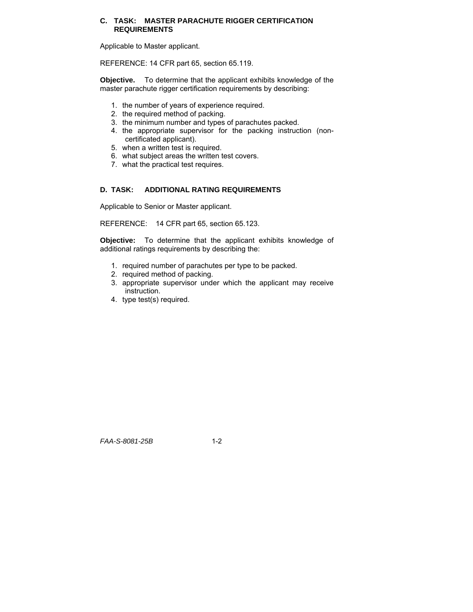#### **C. TASK: MASTER PARACHUTE RIGGER CERTIFICATION REQUIREMENTS**

Applicable to Master applicant.

REFERENCE: 14 CFR part 65, section 65.119.

**Objective.** To determine that the applicant exhibits knowledge of the master parachute rigger certification requirements by describing:

- 1. the number of years of experience required.
- 2. the required method of packing.
- 3. the minimum number and types of parachutes packed.
- 4. the appropriate supervisor for the packing instruction (noncertificated applicant).
- 5. when a written test is required.
- 6. what subject areas the written test covers.
- 7. what the practical test requires.

#### **D. TASK: ADDITIONAL RATING REQUIREMENTS**

Applicable to Senior or Master applicant.

REFERENCE: 14 CFR part 65, section 65.123.

**Objective:** To determine that the applicant exhibits knowledge of additional ratings requirements by describing the:

- 1. required number of parachutes per type to be packed.
- 2. required method of packing.
- 3. appropriate supervisor under which the applicant may receive instruction.
- 4. type test(s) required.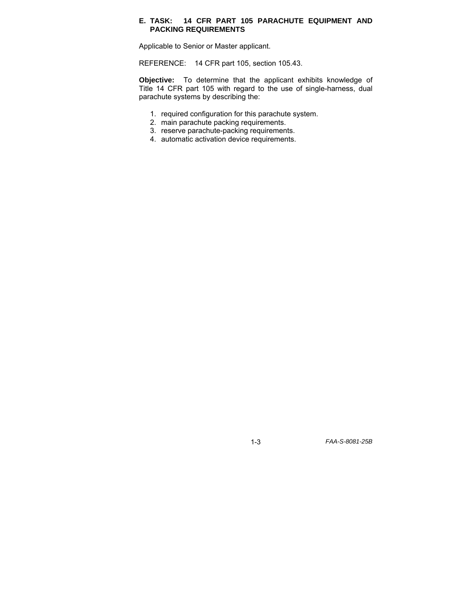#### **E. TASK: 14 CFR PART 105 PARACHUTE EQUIPMENT AND PACKING REQUIREMENTS**

Applicable to Senior or Master applicant.

REFERENCE: 14 CFR part 105, section 105.43.

**Objective:** To determine that the applicant exhibits knowledge of Title 14 CFR part 105 with regard to the use of single-harness, dual parachute systems by describing the:

- 1. required configuration for this parachute system.
- 2. main parachute packing requirements.
- 3. reserve parachute-packing requirements.
- 4. automatic activation device requirements.

1-3 *FAA-S-8081-25B*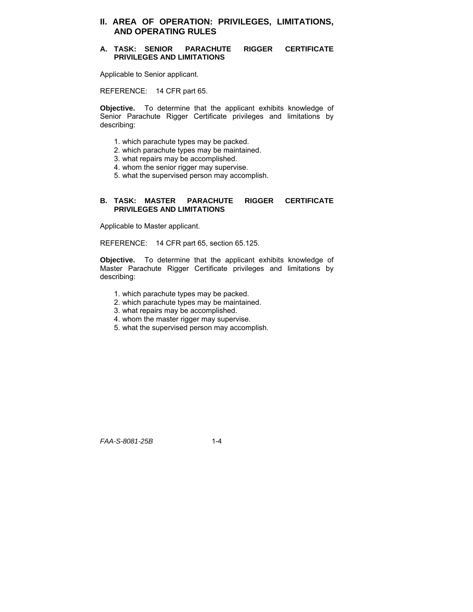# **II. AREA OF OPERATION: PRIVILEGES, LIMITATIONS, AND OPERATING RULES**

#### **A. TASK: SENIOR PARACHUTE RIGGER CERTIFICATE PRIVILEGES AND LIMITATIONS**

Applicable to Senior applicant.

REFERENCE: 14 CFR part 65.

**Objective.** To determine that the applicant exhibits knowledge of Senior Parachute Rigger Certificate privileges and limitations by describing:

- 1. which parachute types may be packed.
- 2. which parachute types may be maintained.
- 3. what repairs may be accomplished.
- 4. whom the senior rigger may supervise.
- 5. what the supervised person may accomplish.

#### **B. TASK: MASTER PARACHUTE RIGGER CERTIFICATE PRIVILEGES AND LIMITATIONS**

Applicable to Master applicant.

REFERENCE: 14 CFR part 65, section 65.125.

**Objective.** To determine that the applicant exhibits knowledge of Master Parachute Rigger Certificate privileges and limitations by describing:

- 1. which parachute types may be packed.
- 2. which parachute types may be maintained.
- 3. what repairs may be accomplished.
- 4. whom the master rigger may supervise.
- 5. what the supervised person may accomplish.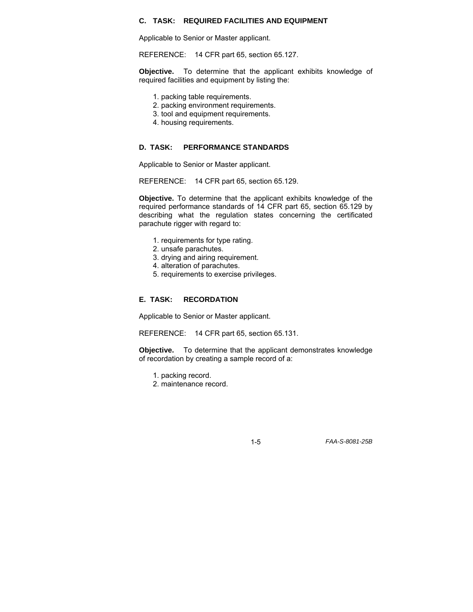#### **C. TASK: REQUIRED FACILITIES AND EQUIPMENT**

Applicable to Senior or Master applicant.

REFERENCE: 14 CFR part 65, section 65.127.

**Objective.** To determine that the applicant exhibits knowledge of required facilities and equipment by listing the:

- 1. packing table requirements.
- 2. packing environment requirements.
- 3. tool and equipment requirements.
- 4. housing requirements.

#### **D. TASK: PERFORMANCE STANDARDS**

Applicable to Senior or Master applicant.

REFERENCE: 14 CFR part 65, section 65.129.

**Objective.** To determine that the applicant exhibits knowledge of the required performance standards of 14 CFR part 65, section 65.129 by describing what the regulation states concerning the certificated parachute rigger with regard to:

- 1. requirements for type rating.
- 2. unsafe parachutes.
- 3. drying and airing requirement.
- 4. alteration of parachutes.
- 5. requirements to exercise privileges.

#### **E. TASK: RECORDATION**

Applicable to Senior or Master applicant.

REFERENCE: 14 CFR part 65, section 65.131.

**Objective.** To determine that the applicant demonstrates knowledge of recordation by creating a sample record of a:

- 1. packing record.
- 2. maintenance record.

1-5 *FAA-S-8081-25B*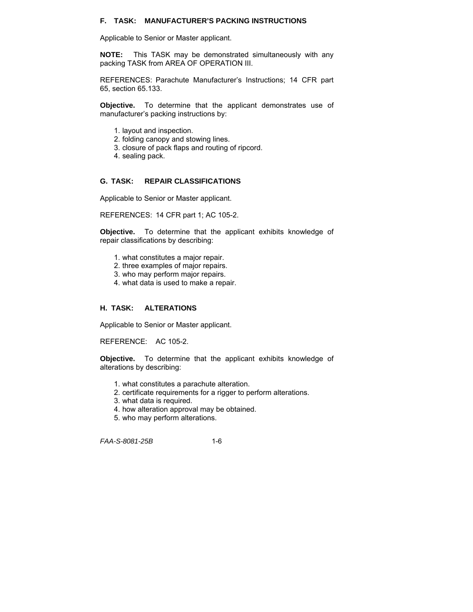#### **F. TASK: MANUFACTURER'S PACKING INSTRUCTIONS**

Applicable to Senior or Master applicant.

**NOTE:** This TASK may be demonstrated simultaneously with any packing TASK from AREA OF OPERATION III.

REFERENCES: Parachute Manufacturer's Instructions; 14 CFR part 65, section 65.133.

**Objective.** To determine that the applicant demonstrates use of manufacturer's packing instructions by:

- 1. layout and inspection.
- 2. folding canopy and stowing lines.
- 3. closure of pack flaps and routing of ripcord.
- 4. sealing pack.

#### **G. TASK: REPAIR CLASSIFICATIONS**

Applicable to Senior or Master applicant.

REFERENCES: 14 CFR part 1; AC 105-2.

**Objective.** To determine that the applicant exhibits knowledge of repair classifications by describing:

- 1. what constitutes a major repair.
- 2. three examples of major repairs.
- 3. who may perform major repairs.
- 4. what data is used to make a repair.

#### **H. TASK: ALTERATIONS**

Applicable to Senior or Master applicant.

REFERENCE: AC 105-2.

**Objective.** To determine that the applicant exhibits knowledge of alterations by describing:

- 1. what constitutes a parachute alteration.
- 2. certificate requirements for a rigger to perform alterations.
- 3. what data is required.
- 4. how alteration approval may be obtained.
- 5. who may perform alterations.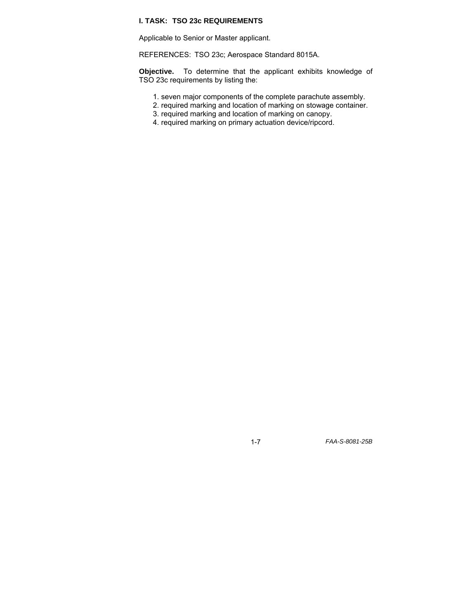# **I. TASK: TSO 23c REQUIREMENTS**

Applicable to Senior or Master applicant.

REFERENCES: TSO 23c; Aerospace Standard 8015A.

**Objective.** To determine that the applicant exhibits knowledge of TSO 23c requirements by listing the:

- 1. seven major components of the complete parachute assembly.
- 2. required marking and location of marking on stowage container.
- 3. required marking and location of marking on canopy.
- 4. required marking on primary actuation device/ripcord.

1-7 *FAA-S-8081-25B*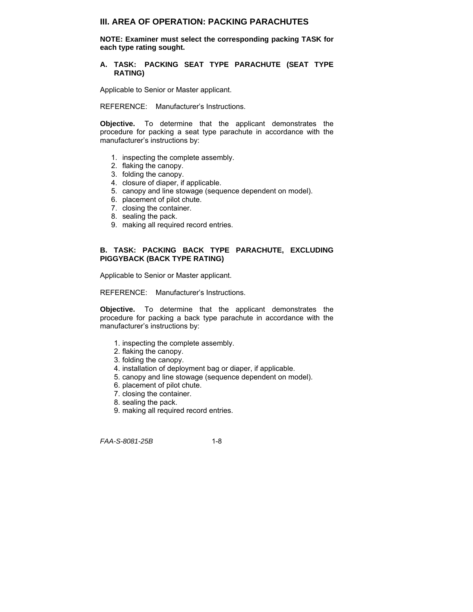# **III. AREA OF OPERATION: PACKING PARACHUTES**

**NOTE: Examiner must select the corresponding packing TASK for each type rating sought.** 

#### **A. TASK: PACKING SEAT TYPE PARACHUTE (SEAT TYPE RATING)**

Applicable to Senior or Master applicant.

REFERENCE: Manufacturer's Instructions.

**Objective.** To determine that the applicant demonstrates the procedure for packing a seat type parachute in accordance with the manufacturer's instructions by:

- 1. inspecting the complete assembly.
- 2. flaking the canopy.
- 3. folding the canopy.
- 4. closure of diaper, if applicable.
- 5. canopy and line stowage (sequence dependent on model).
- 6. placement of pilot chute.
- 7. closing the container.
- 8. sealing the pack.
- 9. making all required record entries.

#### **B. TASK: PACKING BACK TYPE PARACHUTE, EXCLUDING PIGGYBACK (BACK TYPE RATING)**

Applicable to Senior or Master applicant.

REFERENCE: Manufacturer's Instructions.

**Objective.** To determine that the applicant demonstrates the procedure for packing a back type parachute in accordance with the manufacturer's instructions by:

- 1. inspecting the complete assembly.
- 2. flaking the canopy.
- 3. folding the canopy.
- 4. installation of deployment bag or diaper, if applicable.
- 5. canopy and line stowage (sequence dependent on model).
- 6. placement of pilot chute.
- 7. closing the container.
- 8. sealing the pack.
- 9. making all required record entries.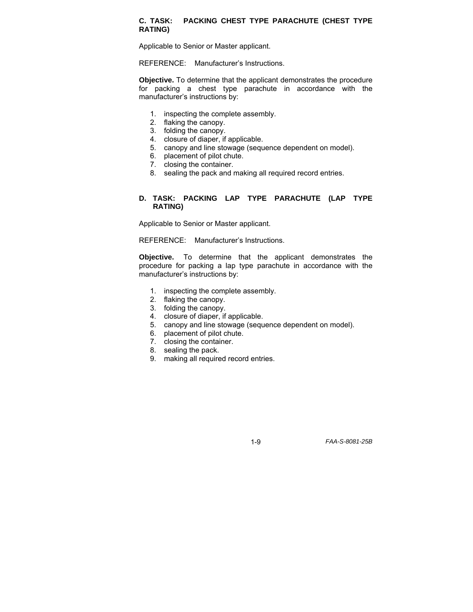#### **C. TASK: PACKING CHEST TYPE PARACHUTE (CHEST TYPE RATING)**

Applicable to Senior or Master applicant.

REFERENCE: Manufacturer's Instructions.

**Objective.** To determine that the applicant demonstrates the procedure for packing a chest type parachute in accordance with the manufacturer's instructions by:

- 1. inspecting the complete assembly.
- 2. flaking the canopy.
- 3. folding the canopy.
- 4. closure of diaper, if applicable.
- 5. canopy and line stowage (sequence dependent on model).
- 6. placement of pilot chute.
- 7. closing the container.
- 8. sealing the pack and making all required record entries.

#### **D. TASK: PACKING LAP TYPE PARACHUTE (LAP TYPE RATING)**

Applicable to Senior or Master applicant.

REFERENCE: Manufacturer's Instructions.

**Objective.** To determine that the applicant demonstrates the procedure for packing a lap type parachute in accordance with the manufacturer's instructions by:

- 1. inspecting the complete assembly.
- 2. flaking the canopy.
- 3. folding the canopy.
- 4. closure of diaper, if applicable.
- 5. canopy and line stowage (sequence dependent on model).
- 6. placement of pilot chute.
- 7. closing the container.
- 8. sealing the pack.
- 9. making all required record entries.

1-9 *FAA-S-8081-25B*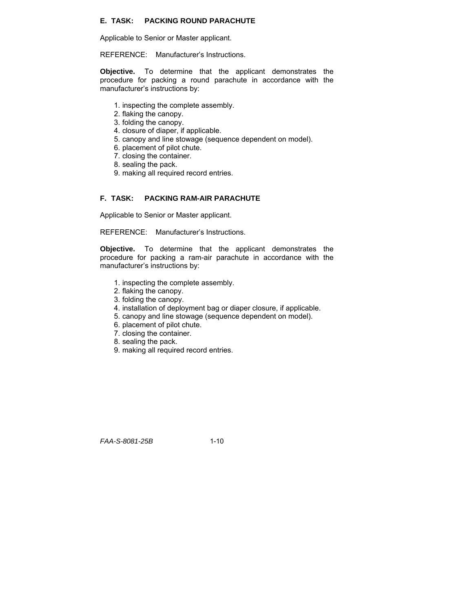### **E. TASK: PACKING ROUND PARACHUTE**

Applicable to Senior or Master applicant.

REFERENCE: Manufacturer's Instructions.

**Objective.** To determine that the applicant demonstrates the procedure for packing a round parachute in accordance with the manufacturer's instructions by:

- 1. inspecting the complete assembly.
- 2. flaking the canopy.
- 3. folding the canopy.
- 4. closure of diaper, if applicable.
- 5. canopy and line stowage (sequence dependent on model).
- 6. placement of pilot chute.
- 7. closing the container.
- 8. sealing the pack.
- 9. making all required record entries.

#### **F. TASK: PACKING RAM-AIR PARACHUTE**

Applicable to Senior or Master applicant.

REFERENCE: Manufacturer's Instructions.

**Objective.** To determine that the applicant demonstrates the procedure for packing a ram-air parachute in accordance with the manufacturer's instructions by:

- 1. inspecting the complete assembly.
- 2. flaking the canopy.
- 3. folding the canopy.
- 4. installation of deployment bag or diaper closure, if applicable.
- 5. canopy and line stowage (sequence dependent on model).
- 6. placement of pilot chute.
- 7. closing the container.
- 8. sealing the pack.
- 9. making all required record entries.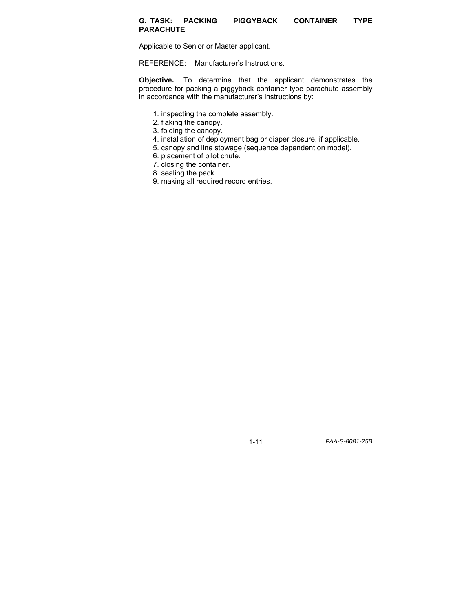#### **G. TASK: PACKING PIGGYBACK CONTAINER TYPE PARACHUTE**

Applicable to Senior or Master applicant.

REFERENCE: Manufacturer's Instructions.

**Objective.** To determine that the applicant demonstrates the procedure for packing a piggyback container type parachute assembly in accordance with the manufacturer's instructions by:

- 1. inspecting the complete assembly.
- 2. flaking the canopy.
- 3. folding the canopy.
- 4. installation of deployment bag or diaper closure, if applicable.
- 5. canopy and line stowage (sequence dependent on model).
- 6. placement of pilot chute.
- 7. closing the container.
- 8. sealing the pack.
- 9. making all required record entries.

1-11 *FAA-S-8081-25B*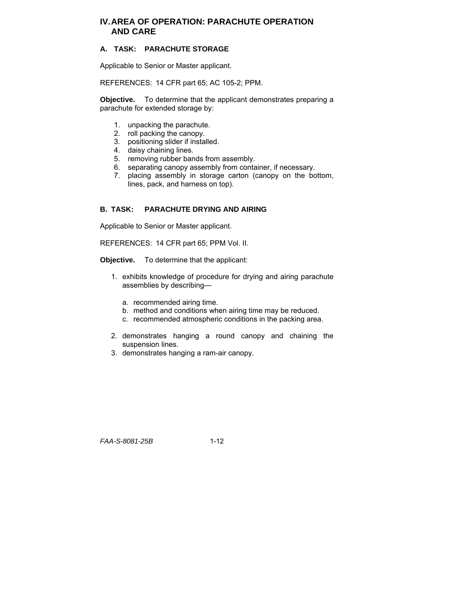# **IV. AREA OF OPERATION: PARACHUTE OPERATION AND CARE**

# **A. TASK: PARACHUTE STORAGE**

Applicable to Senior or Master applicant.

REFERENCES: 14 CFR part 65; AC 105-2; PPM.

**Objective.** To determine that the applicant demonstrates preparing a parachute for extended storage by:

- 1. unpacking the parachute.
- 2. roll packing the canopy.
- 3. positioning slider if installed.
- 4. daisy chaining lines.
- 5. removing rubber bands from assembly.
- 6. separating canopy assembly from container, if necessary.
- 7. placing assembly in storage carton (canopy on the bottom, lines, pack, and harness on top).

# **B. TASK: PARACHUTE DRYING AND AIRING**

Applicable to Senior or Master applicant.

REFERENCES: 14 CFR part 65; PPM Vol. II.

**Objective.** To determine that the applicant:

- 1. exhibits knowledge of procedure for drying and airing parachute assemblies by describing
	- a. recommended airing time.
	- b. method and conditions when airing time may be reduced.
	- c. recommended atmospheric conditions in the packing area.
- 2. demonstrates hanging a round canopy and chaining the suspension lines.
- 3. demonstrates hanging a ram-air canopy.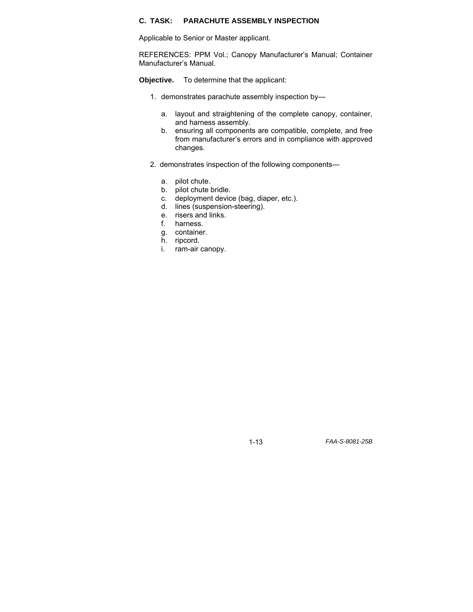# **C. TASK: PARACHUTE ASSEMBLY INSPECTION**

Applicable to Senior or Master applicant.

REFERENCES: PPM Vol.; Canopy Manufacturer's Manual; Container Manufacturer's Manual.

**Objective.** To determine that the applicant:

- 1. demonstrates parachute assembly inspection by
	- a. layout and straightening of the complete canopy, container, and harness assembly.
	- b. ensuring all components are compatible, complete, and free from manufacturer's errors and in compliance with approved changes.
- 2. demonstrates inspection of the following components
	- a. pilot chute.
	- b. pilot chute bridle.
	- c. deployment device (bag, diaper, etc.).
	- d. lines (suspension-steering).
	- e. risers and links.
	- harness.
	- g. container.
	- h. ripcord.
	- i. ram-air canopy.

1-13 *FAA-S-8081-25B*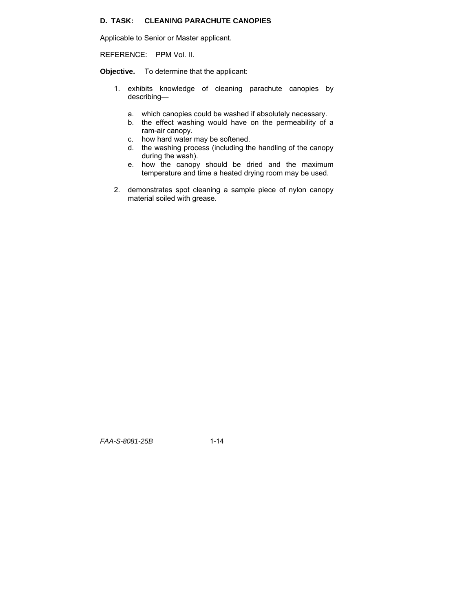# **D. TASK: CLEANING PARACHUTE CANOPIES**

Applicable to Senior or Master applicant.

REFERENCE: PPM Vol. II.

**Objective.** To determine that the applicant:

- 1. exhibits knowledge of cleaning parachute canopies by describing
	- a. which canopies could be washed if absolutely necessary.
	- b. the effect washing would have on the permeability of a ram-air canopy.
	- c. how hard water may be softened.
	- d. the washing process (including the handling of the canopy during the wash).
	- e. how the canopy should be dried and the maximum temperature and time a heated drying room may be used.
- 2. demonstrates spot cleaning a sample piece of nylon canopy material soiled with grease.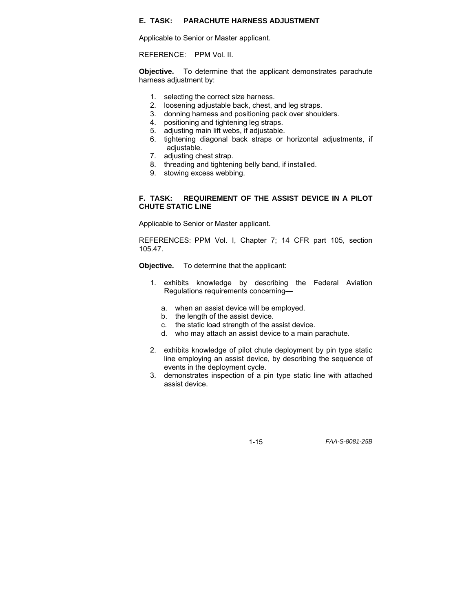### **E. TASK: PARACHUTE HARNESS ADJUSTMENT**

Applicable to Senior or Master applicant.

REFERENCE: PPM Vol. II.

**Objective.** To determine that the applicant demonstrates parachute harness adjustment by:

- 1. selecting the correct size harness.
- 2. loosening adjustable back, chest, and leg straps.
- 3. donning harness and positioning pack over shoulders.
- 4. positioning and tightening leg straps.
- 5. adjusting main lift webs, if adjustable.
- 6. tightening diagonal back straps or horizontal adjustments, if adjustable.
- 7. adjusting chest strap.
- 8. threading and tightening belly band, if installed.
- 9. stowing excess webbing.

#### **F. TASK: REQUIREMENT OF THE ASSIST DEVICE IN A PILOT CHUTE STATIC LINE**

Applicable to Senior or Master applicant.

REFERENCES: PPM Vol. I, Chapter 7; 14 CFR part 105, section 105.47.

**Objective.** To determine that the applicant:

- 1. exhibits knowledge by describing the Federal Aviation Regulations requirements concerning
	- a. when an assist device will be employed.
	- b. the length of the assist device.
	- c. the static load strength of the assist device.
	- d. who may attach an assist device to a main parachute.
- 2. exhibits knowledge of pilot chute deployment by pin type static line employing an assist device, by describing the sequence of events in the deployment cycle.
- 3. demonstrates inspection of a pin type static line with attached assist device.

1-15 *FAA-S-8081-25B*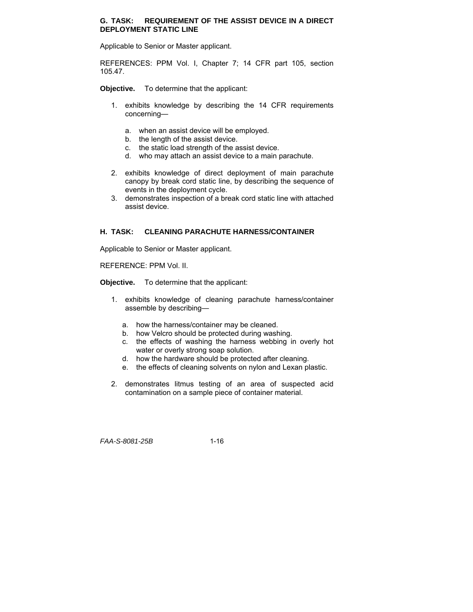#### **G. TASK: REQUIREMENT OF THE ASSIST DEVICE IN A DIRECT DEPLOYMENT STATIC LINE**

Applicable to Senior or Master applicant.

REFERENCES: PPM Vol. I, Chapter 7; 14 CFR part 105, section 105.47.

**Objective.** To determine that the applicant:

- 1. exhibits knowledge by describing the 14 CFR requirements concerning
	- a. when an assist device will be employed.
	- b. the length of the assist device.
	- c. the static load strength of the assist device.
	- d. who may attach an assist device to a main parachute.
- 2. exhibits knowledge of direct deployment of main parachute canopy by break cord static line, by describing the sequence of events in the deployment cycle.
- 3. demonstrates inspection of a break cord static line with attached assist device.

#### **H. TASK: CLEANING PARACHUTE HARNESS/CONTAINER**

Applicable to Senior or Master applicant.

REFERENCE: PPM Vol. II.

**Objective.** To determine that the applicant:

- 1. exhibits knowledge of cleaning parachute harness/container assemble by describing
	- a. how the harness/container may be cleaned.
	- b. how Velcro should be protected during washing.
	- c. the effects of washing the harness webbing in overly hot water or overly strong soap solution.
	- d. how the hardware should be protected after cleaning.
	- e. the effects of cleaning solvents on nylon and Lexan plastic.
- 2. demonstrates litmus testing of an area of suspected acid contamination on a sample piece of container material.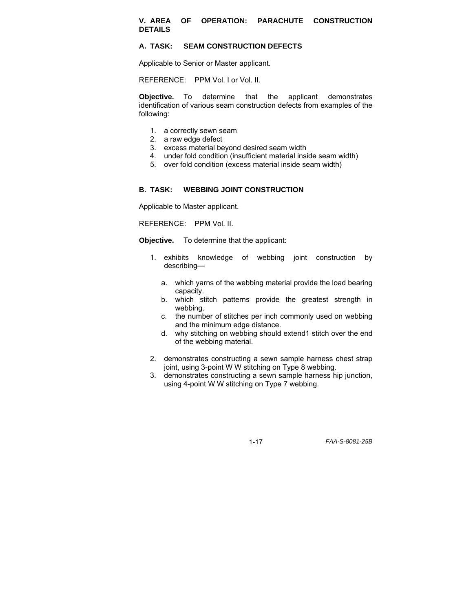#### **V. AREA OF OPERATION: PARACHUTE CONSTRUCTION DETAILS**

#### **A. TASK: SEAM CONSTRUCTION DEFECTS**

Applicable to Senior or Master applicant.

REFERENCE: PPM Vol. I or Vol. II.

**Objective.** To determine that the applicant demonstrates identification of various seam construction defects from examples of the following:

- 1. a correctly sewn seam
- 2. a raw edge defect
- 3. excess material beyond desired seam width
- 4. under fold condition (insufficient material inside seam width)
- 5. over fold condition (excess material inside seam width)

#### **B. TASK: WEBBING JOINT CONSTRUCTION**

Applicable to Master applicant.

REFERENCE: PPM Vol. II.

**Objective.** To determine that the applicant:

- 1. exhibits knowledge of webbing joint construction by describing
	- a. which yarns of the webbing material provide the load bearing capacity.
	- b. which stitch patterns provide the greatest strength in webbing.
	- c. the number of stitches per inch commonly used on webbing and the minimum edge distance.
	- d. why stitching on webbing should extend1 stitch over the end of the webbing material.
- 2. demonstrates constructing a sewn sample harness chest strap joint, using 3-point W W stitching on Type 8 webbing.
- 3. demonstrates constructing a sewn sample harness hip junction, using 4-point W W stitching on Type 7 webbing.

1-17 *FAA-S-8081-25B*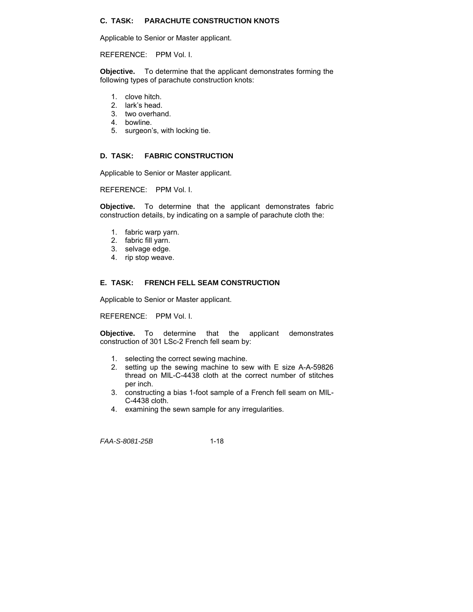# **C. TASK: PARACHUTE CONSTRUCTION KNOTS**

Applicable to Senior or Master applicant.

REFERENCE: PPM Vol. I.

**Objective.** To determine that the applicant demonstrates forming the following types of parachute construction knots:

- 1. clove hitch.
- 2. lark's head.
- 3. two overhand.
- 4. bowline.
- 5. surgeon's, with locking tie.

#### **D. TASK: FABRIC CONSTRUCTION**

Applicable to Senior or Master applicant.

REFERENCE: PPM Vol. I.

**Objective.** To determine that the applicant demonstrates fabric construction details, by indicating on a sample of parachute cloth the:

- 1. fabric warp yarn.
- 2. fabric fill yarn.
- 3. selvage edge.
- 4. rip stop weave.

#### **E. TASK: FRENCH FELL SEAM CONSTRUCTION**

Applicable to Senior or Master applicant.

REFERENCE: PPM Vol. I.

**Objective.** To determine that the applicant demonstrates construction of 301 LSc-2 French fell seam by:

- 1. selecting the correct sewing machine.
- 2. setting up the sewing machine to sew with E size A-A-59826 thread on MIL-C-4438 cloth at the correct number of stitches per inch.
- 3. constructing a bias 1-foot sample of a French fell seam on MIL-C-4438 cloth.
- 4. examining the sewn sample for any irregularities.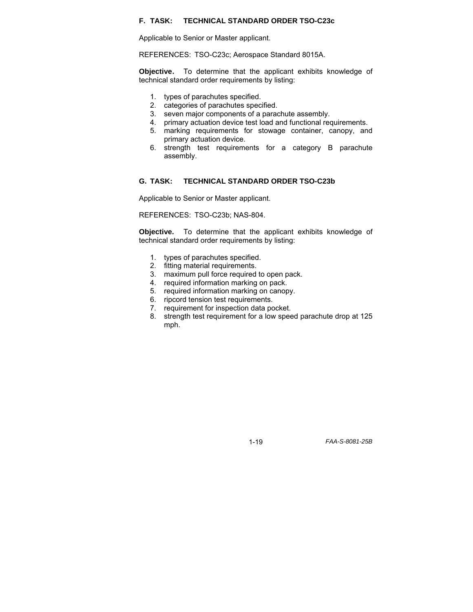#### **F. TASK: TECHNICAL STANDARD ORDER TSO-C23c**

Applicable to Senior or Master applicant.

REFERENCES: TSO-C23c; Aerospace Standard 8015A.

**Objective.** To determine that the applicant exhibits knowledge of technical standard order requirements by listing:

- 1. types of parachutes specified.
- 2. categories of parachutes specified.
- 3. seven major components of a parachute assembly.
- 4. primary actuation device test load and functional requirements.
- 5. marking requirements for stowage container, canopy, and primary actuation device.
- 6. strength test requirements for a category B parachute assembly.

#### **G. TASK: TECHNICAL STANDARD ORDER TSO-C23b**

Applicable to Senior or Master applicant.

REFERENCES: TSO-C23b; NAS-804.

**Objective.** To determine that the applicant exhibits knowledge of technical standard order requirements by listing:

- 1. types of parachutes specified.
- 2. fitting material requirements.
- 3. maximum pull force required to open pack.
- 4. required information marking on pack.
- 5. required information marking on canopy.
- 6. ripcord tension test requirements.
- 7. requirement for inspection data pocket.
- 8. strength test requirement for a low speed parachute drop at 125 mph.

1-19 *FAA-S-8081-25B*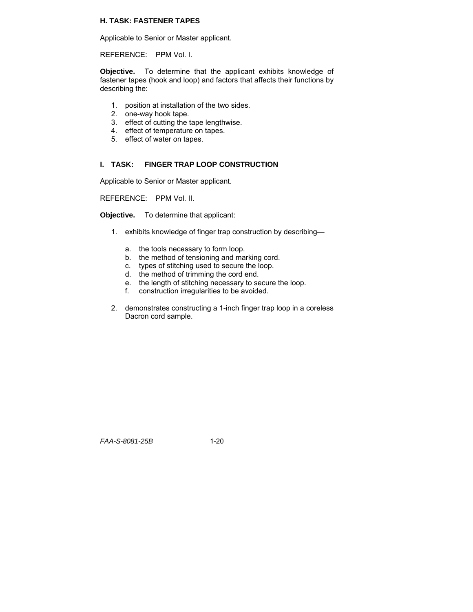#### **H. TASK: FASTENER TAPES**

Applicable to Senior or Master applicant.

REFERENCE: PPM Vol. I.

**Objective.** To determine that the applicant exhibits knowledge of fastener tapes (hook and loop) and factors that affects their functions by describing the:

- 1. position at installation of the two sides.
- 2. one-way hook tape.
- 3. effect of cutting the tape lengthwise.
- 4. effect of temperature on tapes.
- 5. effect of water on tapes.

#### **I. TASK: FINGER TRAP LOOP CONSTRUCTION**

Applicable to Senior or Master applicant.

REFERENCE: PPM Vol. II.

**Objective.** To determine that applicant:

- 1. exhibits knowledge of finger trap construction by describing
	- a. the tools necessary to form loop.
	- b. the method of tensioning and marking cord.
	- c. types of stitching used to secure the loop.
	- d. the method of trimming the cord end.
	- e. the length of stitching necessary to secure the loop.
	- f. construction irregularities to be avoided.
- 2. demonstrates constructing a 1-inch finger trap loop in a coreless Dacron cord sample.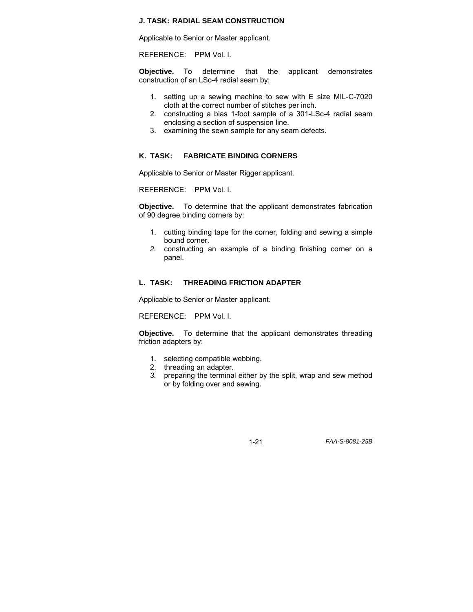#### **J. TASK: RADIAL SEAM CONSTRUCTION**

Applicable to Senior or Master applicant.

REFERENCE: PPM Vol. I.

**Objective.** To determine that the applicant demonstrates construction of an LSc-4 radial seam by:

- 1. setting up a sewing machine to sew with E size MIL-C-7020 cloth at the correct number of stitches per inch.
- 2. constructing a bias 1-foot sample of a 301-LSc-4 radial seam enclosing a section of suspension line.
- 3. examining the sewn sample for any seam defects.

#### **K. TASK: FABRICATE BINDING CORNERS**

Applicable to Senior or Master Rigger applicant.

REFERENCE: PPM Vol. I.

**Objective.** To determine that the applicant demonstrates fabrication of 90 degree binding corners by:

- 1. cutting binding tape for the corner, folding and sewing a simple bound corner.
- *2.* constructing an example of a binding finishing corner on a panel.

#### **L. TASK: THREADING FRICTION ADAPTER**

Applicable to Senior or Master applicant.

REFERENCE: PPM Vol. I.

**Objective.** To determine that the applicant demonstrates threading friction adapters by:

- 1. selecting compatible webbing.
- 2. threading an adapter.
- *3.* preparing the terminal either by the split, wrap and sew method or by folding over and sewing.

1-21 *FAA-S-8081-25B*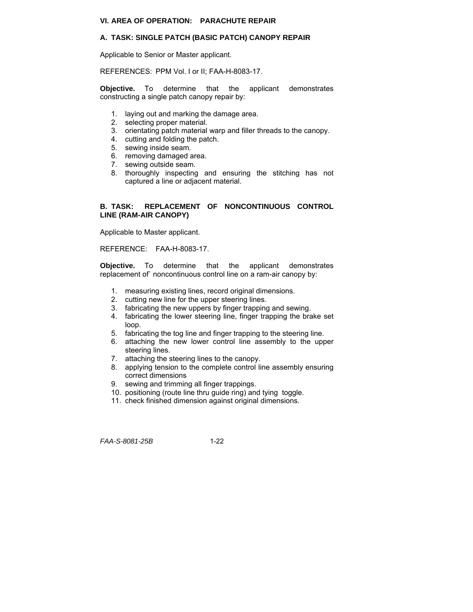#### **VI. AREA OF OPERATION: PARACHUTE REPAIR**

#### **A. TASK: SINGLE PATCH (BASIC PATCH) CANOPY REPAIR**

Applicable to Senior or Master applicant.

REFERENCES: PPM Vol. I or II; FAA-H-8083-17.

**Objective.** To determine that the applicant demonstrates constructing a single patch canopy repair by:

- 1. laying out and marking the damage area.
- 2. selecting proper material.
- 3. orientating patch material warp and filler threads to the canopy.
- 4. cutting and folding the patch.
- 5. sewing inside seam.
- 6. removing damaged area.
- 7. sewing outside seam.
- 8. thoroughly inspecting and ensuring the stitching has not captured a line or adjacent material.

#### **B. TASK: REPLACEMENT OF NONCONTINUOUS CONTROL LINE (RAM-AIR CANOPY)**

Applicable to Master applicant.

REFERENCE: FAA-H-8083-17.

**Objective.** To determine that the applicant demonstrates replacement of` noncontinuous control line on a ram-air canopy by:

- 1. measuring existing lines, record original dimensions.
- 2. cutting new line for the upper steering lines.
- 3. fabricating the new uppers by finger trapping and sewing.
- 4. fabricating the lower steering line, finger trapping the brake set loop.
- 5. fabricating the tog line and finger trapping to the steering line.
- 6. attaching the new lower control line assembly to the upper steering lines.
- 7. attaching the steering lines to the canopy.
- 8. applying tension to the complete control line assembly ensuring correct dimensions
- 9. sewing and trimming all finger trappings.
- 10. positioning (route line thru guide ring) and tying toggle.
- 11. check finished dimension against original dimensions.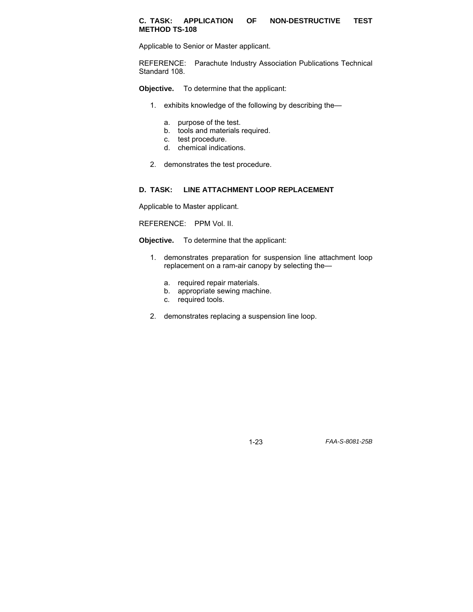#### **C. TASK: APPLICATION OF NON-DESTRUCTIVE TEST METHOD TS-108**

Applicable to Senior or Master applicant.

REFERENCE: Parachute Industry Association Publications Technical Standard 108.

**Objective.** To determine that the applicant:

- 1. exhibits knowledge of the following by describing the
	- a. purpose of the test.
	- b. tools and materials required.
	- c. test procedure.
	- d. chemical indications.
- 2. demonstrates the test procedure.

#### **D. TASK: LINE ATTACHMENT LOOP REPLACEMENT**

Applicable to Master applicant.

REFERENCE: PPM Vol. II.

**Objective.** To determine that the applicant:

- 1. demonstrates preparation for suspension line attachment loop replacement on a ram-air canopy by selecting the
	- a. required repair materials.
	- b. appropriate sewing machine.
	- c. required tools.
- 2. demonstrates replacing a suspension line loop.

1-23 *FAA-S-8081-25B*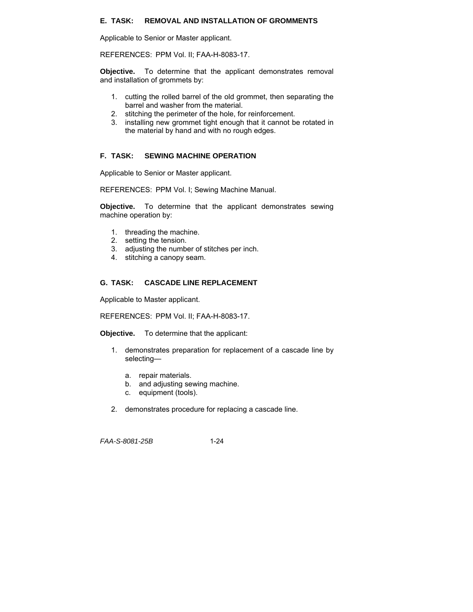#### **E. TASK: REMOVAL AND INSTALLATION OF GROMMENTS**

Applicable to Senior or Master applicant.

REFERENCES: PPM Vol. II; FAA-H-8083-17.

**Objective.** To determine that the applicant demonstrates removal and installation of grommets by:

- 1. cutting the rolled barrel of the old grommet, then separating the barrel and washer from the material.
- 2. stitching the perimeter of the hole, for reinforcement.
- 3. installing new grommet tight enough that it cannot be rotated in the material by hand and with no rough edges.

#### **F. TASK: SEWING MACHINE OPERATION**

Applicable to Senior or Master applicant.

REFERENCES: PPM Vol. I; Sewing Machine Manual.

**Objective.** To determine that the applicant demonstrates sewing machine operation by:

- 1. threading the machine.
- 2. setting the tension.
- 3. adjusting the number of stitches per inch.
- 4. stitching a canopy seam.

#### **G. TASK: CASCADE LINE REPLACEMENT**

Applicable to Master applicant.

REFERENCES: PPM Vol. II; FAA-H-8083-17.

**Objective.** To determine that the applicant:

- 1. demonstrates preparation for replacement of a cascade line by selecting
	- a. repair materials.
	- b. and adjusting sewing machine.
	- c. equipment (tools).
- 2. demonstrates procedure for replacing a cascade line.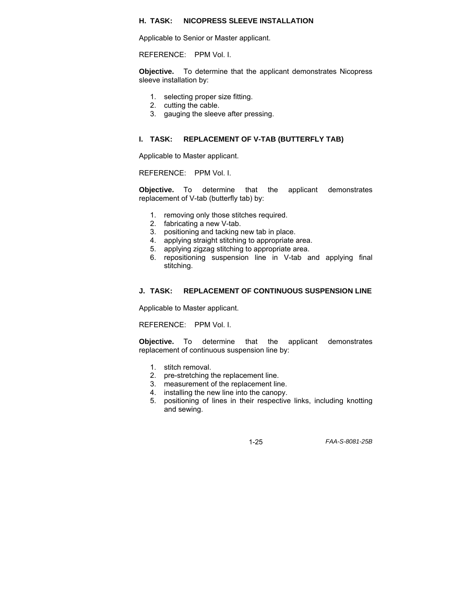#### **H. TASK: NICOPRESS SLEEVE INSTALLATION**

Applicable to Senior or Master applicant.

REFERENCE: PPM Vol. I.

**Objective.** To determine that the applicant demonstrates Nicopress sleeve installation by:

- 1. selecting proper size fitting.
- 2. cutting the cable.
- 3. gauging the sleeve after pressing.

#### **I. TASK: REPLACEMENT OF V-TAB (BUTTERFLY TAB)**

Applicable to Master applicant.

REFERENCE: PPM Vol. I.

**Objective.** To determine that the applicant demonstrates replacement of V-tab (butterfly tab) by:

- 1. removing only those stitches required.
- 2. fabricating a new V-tab.
- 3. positioning and tacking new tab in place.<br>4. applying straight stitching to appropriate a
- applying straight stitching to appropriate area.
- 5. applying zigzag stitching to appropriate area.
- 6. repositioning suspension line in V-tab and applying final stitching.

#### **J. TASK: REPLACEMENT OF CONTINUOUS SUSPENSION LINE**

Applicable to Master applicant.

REFERENCE: PPM Vol. I.

**Objective.** To determine that the applicant demonstrates replacement of continuous suspension line by:

- 1. stitch removal.
- 2. pre-stretching the replacement line.
- 3. measurement of the replacement line.
- 4. installing the new line into the canopy.
- 5. positioning of lines in their respective links, including knotting and sewing.

1-25 *FAA-S-8081-25B*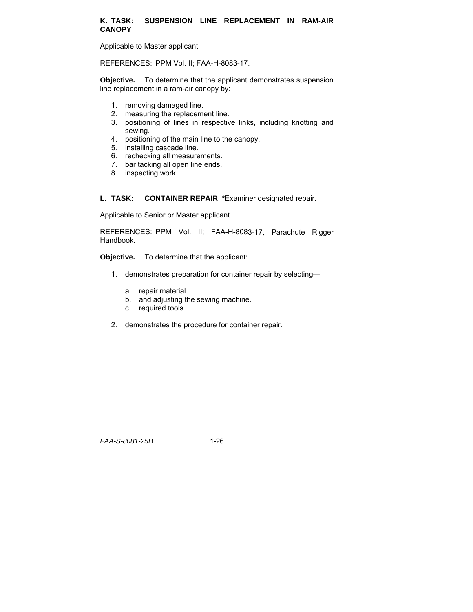#### **K. TASK: SUSPENSION LINE REPLACEMENT IN RAM-AIR CANOPY**

Applicable to Master applicant.

REFERENCES: PPM Vol. II; FAA-H-8083-17.

**Objective.** To determine that the applicant demonstrates suspension line replacement in a ram-air canopy by:

- 1. removing damaged line.
- 2. measuring the replacement line.
- 3. positioning of lines in respective links, including knotting and sewing.
- 4. positioning of the main line to the canopy.
- 5. installing cascade line.
- 6. rechecking all measurements.
- 7. bar tacking all open line ends.
- 8. inspecting work.

**L. TASK: CONTAINER REPAIR \***Examiner designated repair.

Applicable to Senior or Master applicant.

REFERENCES: PPM Vol. II; FAA-H-8083-17, Parachute Rigger Handbook.

**Objective.** To determine that the applicant:

- 1. demonstrates preparation for container repair by selecting
	- a. repair material.
	- b. and adjusting the sewing machine.
	- c. required tools.
- 2. demonstrates the procedure for container repair.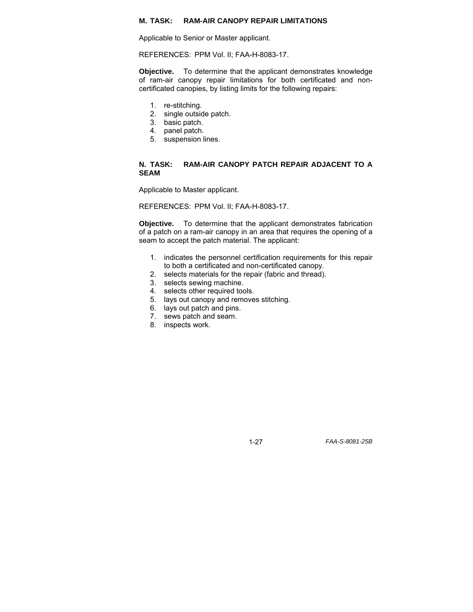#### **M. TASK: RAM-AIR CANOPY REPAIR LIMITATIONS**

Applicable to Senior or Master applicant.

REFERENCES: PPM Vol. II; FAA-H-8083-17.

**Objective.** To determine that the applicant demonstrates knowledge of ram-air canopy repair limitations for both certificated and noncertificated canopies, by listing limits for the following repairs:

- 1. re-stitching.
- 2. single outside patch.
- 3. basic patch.
- 4. panel patch.
- 5. suspension lines.

#### **N. TASK: RAM-AIR CANOPY PATCH REPAIR ADJACENT TO A SEAM**

Applicable to Master applicant.

REFERENCES: PPM Vol. II; FAA-H-8083-17.

**Objective.** To determine that the applicant demonstrates fabrication of a patch on a ram-air canopy in an area that requires the opening of a seam to accept the patch material. The applicant:

- 1. indicates the personnel certification requirements for this repair to both a certificated and non-certificated canopy.
- 2. selects materials for the repair (fabric and thread).
- 3. selects sewing machine.
- 4. selects other required tools.
- 5. lays out canopy and removes stitching.
- 6. lays out patch and pins.
- 7. sews patch and seam.
- 8. inspects work.

1-27 *FAA-S-8081-25B*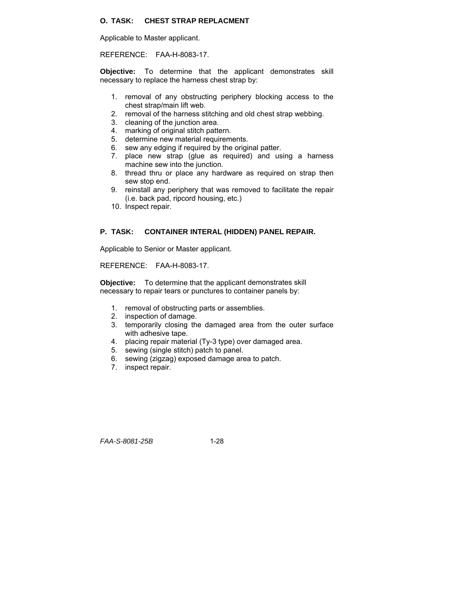### **O. TASK: CHEST STRAP REPLACMENT**

Applicable to Master applicant.

REFERENCE: FAA-H-8083-17.

**Objective:** To determine that the applicant demonstrates skill necessary to replace the harness chest strap by:

- 1. removal of any obstructing periphery blocking access to the chest strap/main lift web.
- 2. removal of the harness stitching and old chest strap webbing.
- 3. cleaning of the junction area.
- 4. marking of original stitch pattern.
- 5. determine new material requirements.
- 6. sew any edging if required by the original patter.
- 7. place new strap (glue as required) and using a harness machine sew into the junction.
- 8. thread thru or place any hardware as required on strap then sew stop end.
- 9. reinstall any periphery that was removed to facilitate the repair (i.e. back pad, ripcord housing, etc.)
- 10. Inspect repair.

#### **P. TASK: CONTAINER INTERAL (HIDDEN) PANEL REPAIR.**

Applicable to Senior or Master applicant.

#### REFERENCE: FAA-H-8083-17.

**Objective:** To determine that the applicant demonstrates skill necessary to repair tears or punctures to container panels by:

- 1. removal of obstructing parts or assemblies.
- 2. inspection of damage.
- 3. temporarily closing the damaged area from the outer surface with adhesive tape.
- 4. placing repair material (Ty-3 type) over damaged area.
- 5. sewing (single stitch) patch to panel.
- 6. sewing (zigzag) exposed damage area to patch.
- 7. inspect repair.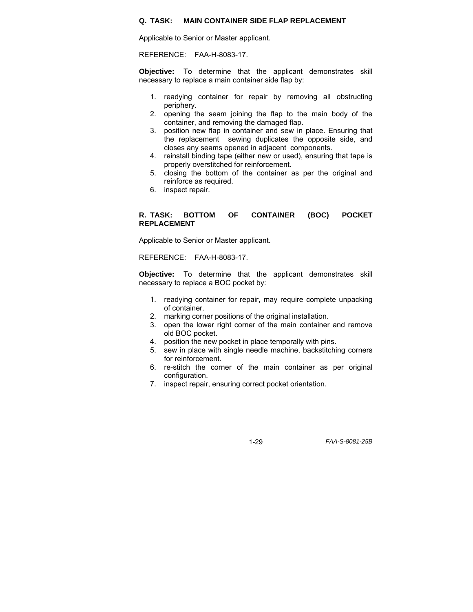#### **Q. TASK: MAIN CONTAINER SIDE FLAP REPLACEMENT**

Applicable to Senior or Master applicant.

REFERENCE: FAA-H-8083-17.

**Objective:** To determine that the applicant demonstrates skill necessary to replace a main container side flap by:

- 1. readying container for repair by removing all obstructing periphery.
- 2. opening the seam joining the flap to the main body of the container, and removing the damaged flap.
- 3. position new flap in container and sew in place. Ensuring that the replacement sewing duplicates the opposite side, and closes any seams opened in adjacent components.
- 4. reinstall binding tape (either new or used), ensuring that tape is properly overstitched for reinforcement.
- 5. closing the bottom of the container as per the original and reinforce as required.
- 6. inspect repair.

#### **R. TASK: BOTTOM OF CONTAINER (BOC) POCKET REPLACEMENT**

Applicable to Senior or Master applicant.

REFERENCE: FAA-H-8083-17.

**Objective:** To determine that the applicant demonstrates skill necessary to replace a BOC pocket by:

- 1. readying container for repair, may require complete unpacking of container.
- 2. marking corner positions of the original installation.
- 3. open the lower right corner of the main container and remove old BOC pocket.
- 4. position the new pocket in place temporally with pins.
- 5. sew in place with single needle machine, backstitching corners for reinforcement.
- 6. re-stitch the corner of the main container as per original configuration.
- 7. inspect repair, ensuring correct pocket orientation.

1-29 *FAA-S-8081-25B*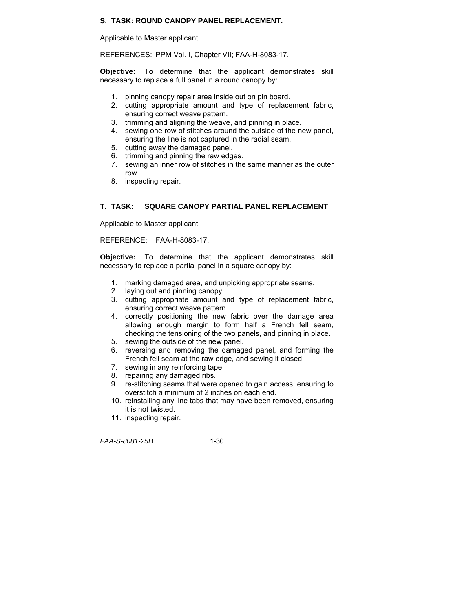# **S. TASK: ROUND CANOPY PANEL REPLACEMENT.**

Applicable to Master applicant.

REFERENCES: PPM Vol. I, Chapter VII; FAA-H-8083-17.

**Objective:** To determine that the applicant demonstrates skill necessary to replace a full panel in a round canopy by:

- 1. pinning canopy repair area inside out on pin board.
- 2. cutting appropriate amount and type of replacement fabric, ensuring correct weave pattern.
- 3. trimming and aligning the weave, and pinning in place.
- 4. sewing one row of stitches around the outside of the new panel, ensuring the line is not captured in the radial seam.
- 5. cutting away the damaged panel.
- 6. trimming and pinning the raw edges.
- 7. sewing an inner row of stitches in the same manner as the outer row.
- 8. inspecting repair.

# **T. TASK: SQUARE CANOPY PARTIAL PANEL REPLACEMENT**

Applicable to Master applicant.

REFERENCE: FAA-H-8083-17.

**Objective:** To determine that the applicant demonstrates skill necessary to replace a partial panel in a square canopy by:

- 1. marking damaged area, and unpicking appropriate seams.
- 2. laying out and pinning canopy.
- 3. cutting appropriate amount and type of replacement fabric, ensuring correct weave pattern.
- 4. correctly positioning the new fabric over the damage area allowing enough margin to form half a French fell seam, checking the tensioning of the two panels, and pinning in place.
- 5. sewing the outside of the new panel.
- 6. reversing and removing the damaged panel, and forming the French fell seam at the raw edge, and sewing it closed.
- 7. sewing in any reinforcing tape.
- 8. repairing any damaged ribs.
- 9. re-stitching seams that were opened to gain access, ensuring to overstitch a minimum of 2 inches on each end.
- 10. reinstalling any line tabs that may have been removed, ensuring it is not twisted.
- 11. inspecting repair.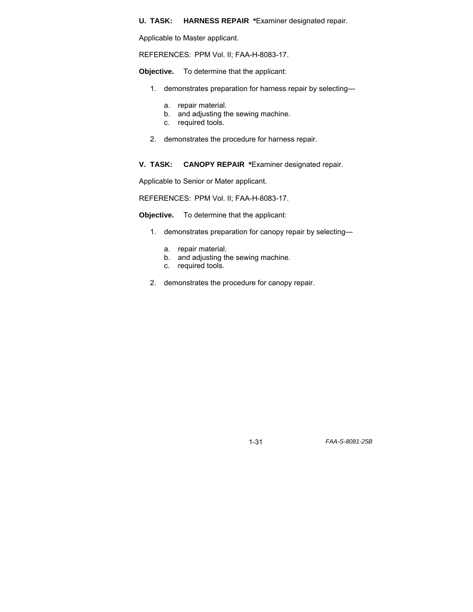#### **U. TASK: HARNESS REPAIR \***Examiner designated repair.

Applicable to Master applicant.

REFERENCES: PPM Vol. II; FAA-H-8083-17.

**Objective.** To determine that the applicant:

- 1. demonstrates preparation for harness repair by selecting
	- a. repair material.
	- b. and adjusting the sewing machine.
	- c. required tools.
- 2. demonstrates the procedure for harness repair.

**V. TASK: CANOPY REPAIR \***Examiner designated repair.

Applicable to Senior or Mater applicant.

REFERENCES: PPM Vol. II; FAA-H-8083-17.

**Objective.** To determine that the applicant:

- 1. demonstrates preparation for canopy repair by selecting
	- a. repair material.
	- b. and adjusting the sewing machine.
	- c. required tools.
- 2. demonstrates the procedure for canopy repair.

1-31 *FAA-S-8081-25B*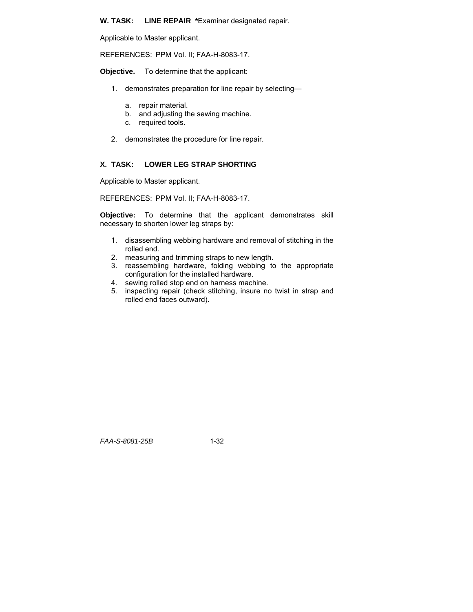**W. TASK: LINE REPAIR \***Examiner designated repair.

Applicable to Master applicant.

REFERENCES: PPM Vol. II; FAA-H-8083-17.

**Objective.** To determine that the applicant:

- 1. demonstrates preparation for line repair by selecting
	- a. repair material.
	- b. and adjusting the sewing machine.
	- c. required tools.
- 2. demonstrates the procedure for line repair.

# **X. TASK: LOWER LEG STRAP SHORTING**

Applicable to Master applicant.

REFERENCES: PPM Vol. II; FAA-H-8083-17.

**Objective:** To determine that the applicant demonstrates skill necessary to shorten lower leg straps by:

- 1. disassembling webbing hardware and removal of stitching in the rolled end.
- 2. measuring and trimming straps to new length.
- 3. reassembling hardware, folding webbing to the appropriate configuration for the installed hardware.
- 4. sewing rolled stop end on harness machine.
- 5. inspecting repair (check stitching, insure no twist in strap and rolled end faces outward).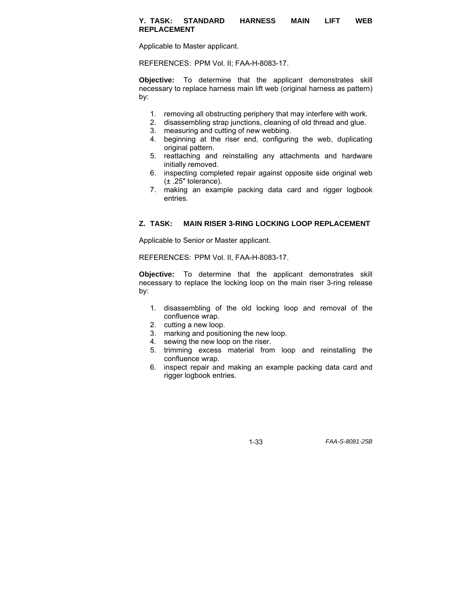#### **Y. TASK: STANDARD HARNESS MAIN LIFT WEB REPLACEMENT**

Applicable to Master applicant.

REFERENCES: PPM Vol. II; FAA-H-8083-17.

**Objective:** To determine that the applicant demonstrates skill necessary to replace harness main lift web (original harness as pattern) by:

- 1. removing all obstructing periphery that may interfere with work.
- 2. disassembling strap junctions, cleaning of old thread and glue.
- 3. measuring and cutting of new webbing.
- 4. beginning at the riser end, configuring the web, duplicating original pattern.
- 5. reattaching and reinstalling any attachments and hardware initially removed.
- 6. inspecting completed repair against opposite side original web (± .25″ tolerance).
- 7. making an example packing data card and rigger logbook entries.

#### **Z. TASK: MAIN RISER 3-RING LOCKING LOOP REPLACEMENT**

Applicable to Senior or Master applicant.

REFERENCES: PPM Vol. II, FAA-H-8083-17.

**Objective:** To determine that the applicant demonstrates skill necessary to replace the locking loop on the main riser 3-ring release by:

- 1. disassembling of the old locking loop and removal of the confluence wrap.
- 2. cutting a new loop.
- 3. marking and positioning the new loop.
- 4. sewing the new loop on the riser.
- 5. trimming excess material from loop and reinstalling the confluence wrap.
- 6. inspect repair and making an example packing data card and rigger logbook entries.

1-33 *FAA-S-8081-25B*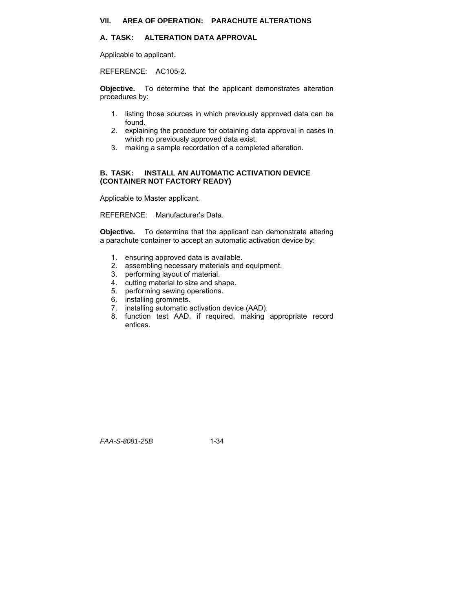## **A. TASK: ALTERATION DATA APPROVAL**

Applicable to applicant.

REFERENCE: AC105-2.

**Objective.** To determine that the applicant demonstrates alteration procedures by:

- 1. listing those sources in which previously approved data can be found.
- 2. explaining the procedure for obtaining data approval in cases in which no previously approved data exist.
- 3. making a sample recordation of a completed alteration.

#### **B. TASK: INSTALL AN AUTOMATIC ACTIVATION DEVICE (CONTAINER NOT FACTORY READY)**

Applicable to Master applicant.

REFERENCE: Manufacturer's Data.

**Objective.** To determine that the applicant can demonstrate altering a parachute container to accept an automatic activation device by:

- 1. ensuring approved data is available.
- 2. assembling necessary materials and equipment.
- 3. performing layout of material.
- 4. cutting material to size and shape.
- 5. performing sewing operations.
- 6. installing grommets.
- 7. installing automatic activation device (AAD).
- 8. function test AAD, if required, making appropriate record entices.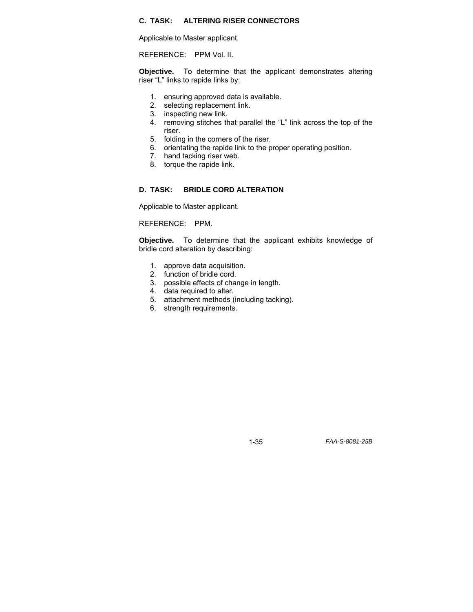# **C. TASK: ALTERING RISER CONNECTORS**

Applicable to Master applicant.

REFERENCE: PPM Vol. II.

**Objective.** To determine that the applicant demonstrates altering riser "L" links to rapide links by:

- 1. ensuring approved data is available.
- 2. selecting replacement link.
- 3. inspecting new link.
- 4. removing stitches that parallel the "L" link across the top of the riser.
- 5. folding in the corners of the riser.
- 6. orientating the rapide link to the proper operating position.
- 7. hand tacking riser web.
- 8. torque the rapide link.

#### **D. TASK: BRIDLE CORD ALTERATION**

Applicable to Master applicant.

REFERENCE: PPM.

**Objective.** To determine that the applicant exhibits knowledge of bridle cord alteration by describing:

- 1. approve data acquisition.
- 2. function of bridle cord.
- 3. possible effects of change in length.
- 4. data required to alter.
- 5. attachment methods (including tacking).
- 6. strength requirements.

1-35 *FAA-S-8081-25B*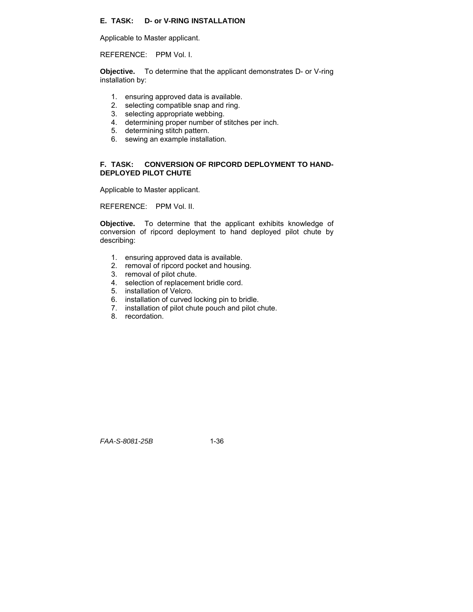# **E. TASK: D- or V-RING INSTALLATION**

Applicable to Master applicant.

REFERENCE: PPM Vol. I.

**Objective.** To determine that the applicant demonstrates D- or V-ring installation by:

- 1. ensuring approved data is available.
- 2. selecting compatible snap and ring.
- 3. selecting appropriate webbing.
- 4. determining proper number of stitches per inch.
- 5. determining stitch pattern.
- 6. sewing an example installation.

#### **F. TASK: CONVERSION OF RIPCORD DEPLOYMENT TO HAND-DEPLOYED PILOT CHUTE**

Applicable to Master applicant.

REFERENCE: PPM Vol. II.

**Objective.** To determine that the applicant exhibits knowledge of conversion of ripcord deployment to hand deployed pilot chute by describing:

- 1. ensuring approved data is available.
- 2. removal of ripcord pocket and housing.
- 3. removal of pilot chute.
- 4. selection of replacement bridle cord.
- 5. installation of Velcro.
- 6. installation of curved locking pin to bridle.
- 7. installation of pilot chute pouch and pilot chute.
- 8. recordation.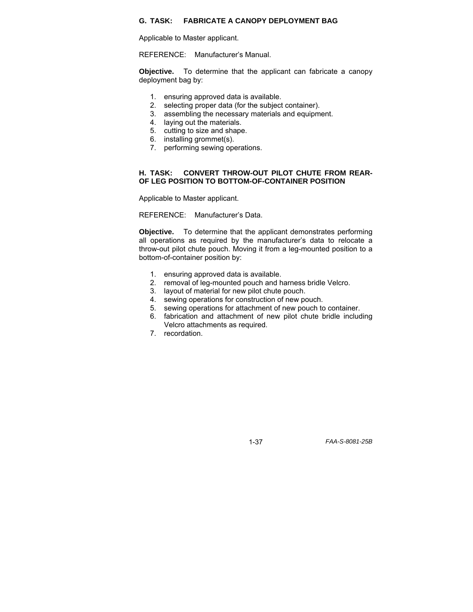### **G. TASK: FABRICATE A CANOPY DEPLOYMENT BAG**

Applicable to Master applicant.

REFERENCE: Manufacturer's Manual.

**Objective.** To determine that the applicant can fabricate a canopy deployment bag by:

- 1. ensuring approved data is available.
- 2. selecting proper data (for the subject container).
- 3. assembling the necessary materials and equipment.
- 4. laying out the materials.
- 5. cutting to size and shape.
- 6. installing grommet(s).
- 7. performing sewing operations.

#### **H. TASK: CONVERT THROW-OUT PILOT CHUTE FROM REAR-OF LEG POSITION TO BOTTOM-OF-CONTAINER POSITION**

Applicable to Master applicant.

REFERENCE: Manufacturer's Data.

**Objective.** To determine that the applicant demonstrates performing all operations as required by the manufacturer's data to relocate a throw-out pilot chute pouch. Moving it from a leg-mounted position to a bottom-of-container position by:

- 1. ensuring approved data is available.
- 2. removal of leg-mounted pouch and harness bridle Velcro.
- 3. layout of material for new pilot chute pouch.
- 4. sewing operations for construction of new pouch.
- 5. sewing operations for attachment of new pouch to container.
- 6. fabrication and attachment of new pilot chute bridle including Velcro attachments as required.
- 7. recordation.

1-37 *FAA-S-8081-25B*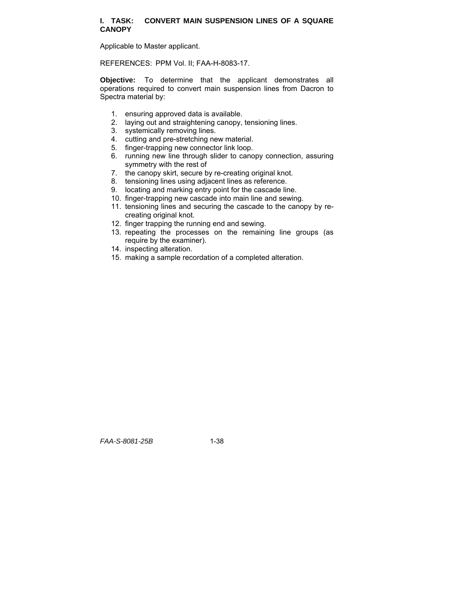#### **I. TASK: CONVERT MAIN SUSPENSION LINES OF A SQUARE CANOPY**

Applicable to Master applicant.

REFERENCES: PPM Vol. II; FAA-H-8083-17.

**Objective:** To determine that the applicant demonstrates all operations required to convert main suspension lines from Dacron to Spectra material by:

- 1. ensuring approved data is available.
- 2. laying out and straightening canopy, tensioning lines.
- 3. systemically removing lines.
- 4. cutting and pre-stretching new material.
- 5. finger-trapping new connector link loop.
- 6. running new line through slider to canopy connection, assuring symmetry with the rest of
- 7. the canopy skirt, secure by re-creating original knot.
- 8. tensioning lines using adjacent lines as reference.
- 9. locating and marking entry point for the cascade line.
- 10. finger-trapping new cascade into main line and sewing.
- 11. tensioning lines and securing the cascade to the canopy by recreating original knot.
- 12. finger trapping the running end and sewing.
- 13. repeating the processes on the remaining line groups (as require by the examiner).
- 14. inspecting alteration.
- 15. making a sample recordation of a completed alteration.